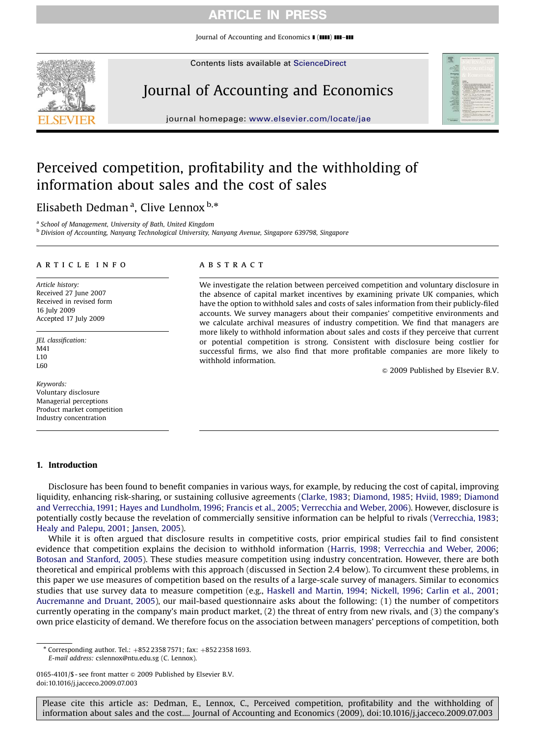Journal of Accounting and Economics  $\blacksquare$  ( $\blacksquare\blacksquare$ )  $\blacksquare\blacksquare$ 

Contents lists available at ScienceDirect

# Journal of Accounting and Economics

journal homepage: <www.elsevier.com/locate/jae>

# Perceived competition, profitability and the withholding of information about sales and the cost of sales

Elisabeth Dedman<sup>a</sup>, Clive Lennox <sup>b,\*</sup>

a School of Management, University of Bath, United Kingdom <sup>b</sup> Division of Accounting, Nanyang Technological University, Nanyang Avenue, Singapore 639798, Singapore

#### article info

Article history: Received 27 June 2007 Received in revised form 16 July 2009 Accepted 17 July 2009

JEL classification: M41 L10 L60

Keywords: Voluntary disclosure Managerial perceptions Product market competition Industry concentration

#### 1. Introduction

Disclosure has been found to benefit companies in various ways, for example, by reducing the cost of capital, improving liquidity, enhancing risk-sharing, or sustaining collusive agreements ([Clarke, 1983;](#page-19-0) [Diamond, 1985;](#page-19-0) [Hviid, 1989;](#page-19-0) [Diamond](#page-19-0) [and Verrecchia, 1991;](#page-19-0) [Hayes and Lundholm, 1996](#page-19-0); [Francis et al., 2005](#page-19-0); [Verrecchia and Weber, 2006](#page-20-0)). However, disclosure is potentially costly because the revelation of commercially sensitive information can be helpful to rivals ([Verrecchia, 1983](#page-20-0); [Healy and Palepu, 2001;](#page-19-0) [Jansen, 2005](#page-19-0)).

While it is often argued that disclosure results in competitive costs, prior empirical studies fail to find consistent evidence that competition explains the decision to withhold information ([Harris, 1998](#page-19-0); [Verrecchia and Weber, 2006](#page-20-0); [Botosan and Stanford, 2005\)](#page-19-0). These studies measure competition using industry concentration. However, there are both theoretical and empirical problems with this approach (discussed in Section 2.4 below). To circumvent these problems, in this paper we use measures of competition based on the results of a large-scale survey of managers. Similar to economics studies that use survey data to measure competition (e.g., [Haskell and Martin, 1994;](#page-19-0) [Nickell, 1996;](#page-20-0) [Carlin et al., 2001](#page-19-0); [Aucremanne and Druant, 2005\)](#page-19-0), our mail-based questionnaire asks about the following: (1) the number of competitors currently operating in the company's main product market, (2) the threat of entry from new rivals, and (3) the company's own price elasticity of demand. We therefore focus on the association between managers' perceptions of competition, both

\* Corresponding author. Tel.: +852 2358 7571; fax: +852 2358 1693. E-mail address: [cslennox@ntu.edu.sg \(C. Lennox\)](mailto:cslennox@ntu.edu.sg).

0165-4101/\$ - see front matter @ 2009 Published by Elsevier B.V. doi:[10.1016/j.jacceco.2009.07.003](dx.doi.org/10.1016/j.jacceco.2009.07.003)

Please cite this article as: Dedman, E., Lennox, C., Perceived competition, profitability and the withholding of information about sales and the cost.... Journal of Accounting and Economics (2009), doi:[10.1016/j.jacceco.2009.07.003](dx.doi.org/10.1016/j.jacceco.2009.07.003)

#### **ABSTRACT**

We investigate the relation between perceived competition and voluntary disclosure in the absence of capital market incentives by examining private UK companies, which have the option to withhold sales and costs of sales information from their publicly-filed accounts. We survey managers about their companies' competitive environments and we calculate archival measures of industry competition. We find that managers are more likely to withhold information about sales and costs if they perceive that current or potential competition is strong. Consistent with disclosure being costlier for successful firms, we also find that more profitable companies are more likely to withhold information.

 $\odot$  2009 Published by Elsevier B.V.



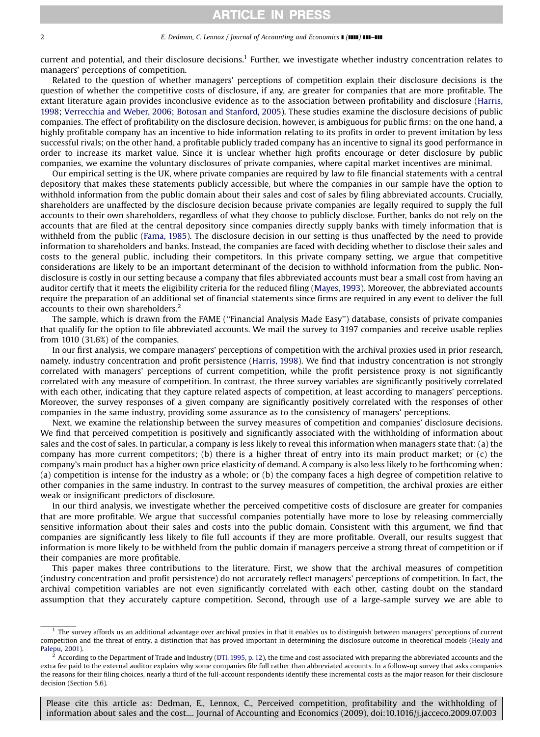#### 2 **E. Dedman, C. Lennox / Journal of Accounting and Economics 1 (1111) 111-111**

current and potential, and their disclosure decisions.<sup>1</sup> Further, we investigate whether industry concentration relates to managers' perceptions of competition.

Related to the question of whether managers' perceptions of competition explain their disclosure decisions is the question of whether the competitive costs of disclosure, if any, are greater for companies that are more profitable. The extant literature again provides inconclusive evidence as to the association between profitability and disclosure ([Harris,](#page-19-0) [1998;](#page-19-0) [Verrecchia and Weber, 2006](#page-20-0); [Botosan and Stanford, 2005\)](#page-19-0). These studies examine the disclosure decisions of public companies. The effect of profitability on the disclosure decision, however, is ambiguous for public firms: on the one hand, a highly profitable company has an incentive to hide information relating to its profits in order to prevent imitation by less successful rivals; on the other hand, a profitable publicly traded company has an incentive to signal its good performance in order to increase its market value. Since it is unclear whether high profits encourage or deter disclosure by public companies, we examine the voluntary disclosures of private companies, where capital market incentives are minimal.

Our empirical setting is the UK, where private companies are required by law to file financial statements with a central depository that makes these statements publicly accessible, but where the companies in our sample have the option to withhold information from the public domain about their sales and cost of sales by filing abbreviated accounts. Crucially, shareholders are unaffected by the disclosure decision because private companies are legally required to supply the full accounts to their own shareholders, regardless of what they choose to publicly disclose. Further, banks do not rely on the accounts that are filed at the central depository since companies directly supply banks with timely information that is withheld from the public [\(Fama, 1985](#page-19-0)). The disclosure decision in our setting is thus unaffected by the need to provide information to shareholders and banks. Instead, the companies are faced with deciding whether to disclose their sales and costs to the general public, including their competitors. In this private company setting, we argue that competitive considerations are likely to be an important determinant of the decision to withhold information from the public. Nondisclosure is costly in our setting because a company that files abbreviated accounts must bear a small cost from having an auditor certify that it meets the eligibility criteria for the reduced filing ([Mayes, 1993\)](#page-20-0). Moreover, the abbreviated accounts require the preparation of an additional set of financial statements since firms are required in any event to deliver the full accounts to their own shareholders.<sup>2</sup>

The sample, which is drawn from the FAME (''Financial Analysis Made Easy'') database, consists of private companies that qualify for the option to file abbreviated accounts. We mail the survey to 3197 companies and receive usable replies from 1010 (31.6%) of the companies.

In our first analysis, we compare managers' perceptions of competition with the archival proxies used in prior research, namely, industry concentration and profit persistence [\(Harris, 1998\)](#page-19-0). We find that industry concentration is not strongly correlated with managers' perceptions of current competition, while the profit persistence proxy is not significantly correlated with any measure of competition. In contrast, the three survey variables are significantly positively correlated with each other, indicating that they capture related aspects of competition, at least according to managers' perceptions. Moreover, the survey responses of a given company are significantly positively correlated with the responses of other companies in the same industry, providing some assurance as to the consistency of managers' perceptions.

Next, we examine the relationship between the survey measures of competition and companies' disclosure decisions. We find that perceived competition is positively and significantly associated with the withholding of information about sales and the cost of sales. In particular, a company is less likely to reveal this information when managers state that: (a) the company has more current competitors; (b) there is a higher threat of entry into its main product market; or (c) the company's main product has a higher own price elasticity of demand. A company is also less likely to be forthcoming when: (a) competition is intense for the industry as a whole; or (b) the company faces a high degree of competition relative to other companies in the same industry. In contrast to the survey measures of competition, the archival proxies are either weak or insignificant predictors of disclosure.

In our third analysis, we investigate whether the perceived competitive costs of disclosure are greater for companies that are more profitable. We argue that successful companies potentially have more to lose by releasing commercially sensitive information about their sales and costs into the public domain. Consistent with this argument, we find that companies are significantly less likely to file full accounts if they are more profitable. Overall, our results suggest that information is more likely to be withheld from the public domain if managers perceive a strong threat of competition or if their companies are more profitable.

This paper makes three contributions to the literature. First, we show that the archival measures of competition (industry concentration and profit persistence) do not accurately reflect managers' perceptions of competition. In fact, the archival competition variables are not even significantly correlated with each other, casting doubt on the standard assumption that they accurately capture competition. Second, through use of a large-sample survey we are able to

 $<sup>1</sup>$  The survey affords us an additional advantage over archival proxies in that it enables us to distinguish between managers' perceptions of current</sup> competition and the threat of entry, a distinction that has proved important in determining the disclosure outcome in theoretical models ([Healy and](#page-19-0) [Palepu, 2001](#page-19-0)).

 $<sup>2</sup>$  According to the Department of Trade and Industry ([DTI, 1995, p. 12\)](#page-19-0), the time and cost associated with preparing the abbreviated accounts and the</sup> extra fee paid to the external auditor explains why some companies file full rather than abbreviated accounts. In a follow-up survey that asks companies the reasons for their filing choices, nearly a third of the full-account respondents identify these incremental costs as the major reason for their disclosure decision (Section 5.6).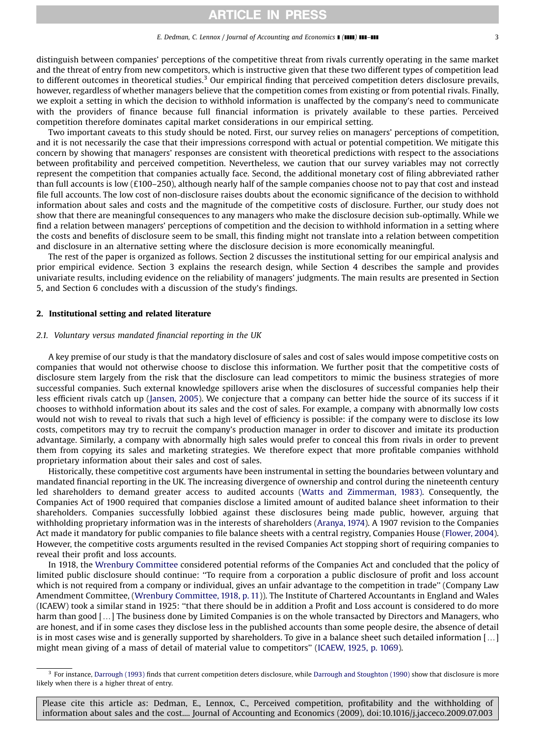distinguish between companies' perceptions of the competitive threat from rivals currently operating in the same market and the threat of entry from new competitors, which is instructive given that these two different types of competition lead to different outcomes in theoretical studies.<sup>3</sup> Our empirical finding that perceived competition deters disclosure prevails, however, regardless of whether managers believe that the competition comes from existing or from potential rivals. Finally, we exploit a setting in which the decision to withhold information is unaffected by the company's need to communicate with the providers of finance because full financial information is privately available to these parties. Perceived competition therefore dominates capital market considerations in our empirical setting.

Two important caveats to this study should be noted. First, our survey relies on managers' perceptions of competition, and it is not necessarily the case that their impressions correspond with actual or potential competition. We mitigate this concern by showing that managers' responses are consistent with theoretical predictions with respect to the associations between profitability and perceived competition. Nevertheless, we caution that our survey variables may not correctly represent the competition that companies actually face. Second, the additional monetary cost of filing abbreviated rather than full accounts is low (£100–250), although nearly half of the sample companies choose not to pay that cost and instead file full accounts. The low cost of non-disclosure raises doubts about the economic significance of the decision to withhold information about sales and costs and the magnitude of the competitive costs of disclosure. Further, our study does not show that there are meaningful consequences to any managers who make the disclosure decision sub-optimally. While we find a relation between managers' perceptions of competition and the decision to withhold information in a setting where the costs and benefits of disclosure seem to be small, this finding might not translate into a relation between competition and disclosure in an alternative setting where the disclosure decision is more economically meaningful.

The rest of the paper is organized as follows. Section 2 discusses the institutional setting for our empirical analysis and prior empirical evidence. Section 3 explains the research design, while Section 4 describes the sample and provides univariate results, including evidence on the reliability of managers' judgments. The main results are presented in Section 5, and Section 6 concludes with a discussion of the study's findings.

#### 2. Institutional setting and related literature

#### 2.1. Voluntary versus mandated financial reporting in the UK

A key premise of our study is that the mandatory disclosure of sales and cost of sales would impose competitive costs on companies that would not otherwise choose to disclose this information. We further posit that the competitive costs of disclosure stem largely from the risk that the disclosure can lead competitors to mimic the business strategies of more successful companies. Such external knowledge spillovers arise when the disclosures of successful companies help their less efficient rivals catch up [\(Jansen, 2005](#page-19-0)). We conjecture that a company can better hide the source of its success if it chooses to withhold information about its sales and the cost of sales. For example, a company with abnormally low costs would not wish to reveal to rivals that such a high level of efficiency is possible: if the company were to disclose its low costs, competitors may try to recruit the company's production manager in order to discover and imitate its production advantage. Similarly, a company with abnormally high sales would prefer to conceal this from rivals in order to prevent them from copying its sales and marketing strategies. We therefore expect that more profitable companies withhold proprietary information about their sales and cost of sales.

Historically, these competitive cost arguments have been instrumental in setting the boundaries between voluntary and mandated financial reporting in the UK. The increasing divergence of ownership and control during the nineteenth century led shareholders to demand greater access to audited accounts [\(Watts and Zimmerman, 1983\).](#page-20-0) Consequently, the Companies Act of 1900 required that companies disclose a limited amount of audited balance sheet information to their shareholders. Companies successfully lobbied against these disclosures being made public, however, arguing that withholding proprietary information was in the interests of shareholders ([Aranya, 1974\)](#page-19-0). A 1907 revision to the Companies Act made it mandatory for public companies to file balance sheets with a central registry, Companies House [\(Flower, 2004](#page-19-0)). However, the competitive costs arguments resulted in the revised Companies Act stopping short of requiring companies to reveal their profit and loss accounts.

In 1918, the [Wrenbury Committee](#page-20-0) considered potential reforms of the Companies Act and concluded that the policy of limited public disclosure should continue: ''To require from a corporation a public disclosure of profit and loss account which is not required from a company or individual, gives an unfair advantage to the competition in trade'' (Company Law Amendment Committee, ([Wrenbury Committee, 1918, p. 11\)](#page-20-0)). The Institute of Chartered Accountants in England and Wales (ICAEW) took a similar stand in 1925: ''that there should be in addition a Profit and Loss account is considered to do more harm than good [...] The business done by Limited Companies is on the whole transacted by Directors and Managers, who are honest, and if in some cases they disclose less in the published accounts than some people desire, the absence of detail is in most cases wise and is generally supported by shareholders. To give in a balance sheet such detailed information  $[...]$ might mean giving of a mass of detail of material value to competitors'' [\(ICAEW, 1925, p. 1069\)](#page-19-0).

 $3$  For instance, [Darrough \(1993\)](#page-19-0) finds that current competition deters disclosure, while [Darrough and Stoughton \(1990\)](#page-19-0) show that disclosure is more likely when there is a higher threat of entry.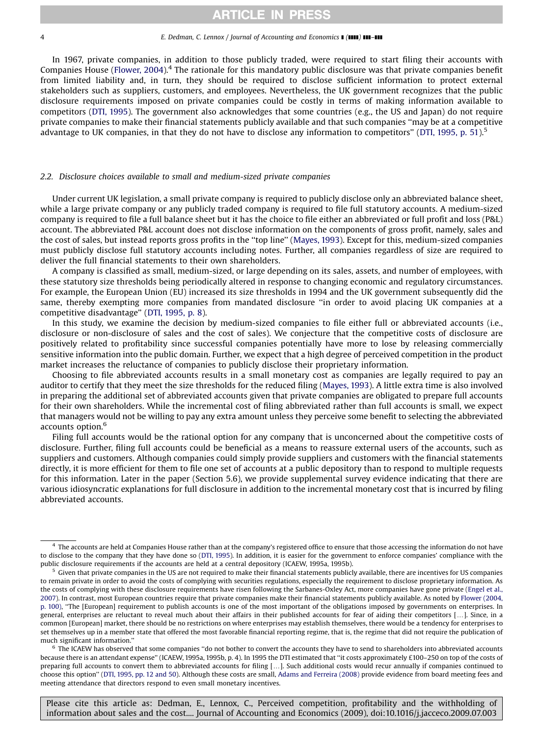#### 4 **E. Dedman, C. Lennox** / Journal of Accounting and Economics **[(1111) 111-111**

In 1967, private companies, in addition to those publicly traded, were required to start filing their accounts with Companies House [\(Flower, 2004\)](#page-19-0).4 The rationale for this mandatory public disclosure was that private companies benefit from limited liability and, in turn, they should be required to disclose sufficient information to protect external stakeholders such as suppliers, customers, and employees. Nevertheless, the UK government recognizes that the public disclosure requirements imposed on private companies could be costly in terms of making information available to competitors ([DTI, 1995](#page-19-0)). The government also acknowledges that some countries (e.g., the US and Japan) do not require private companies to make their financial statements publicly available and that such companies ''may be at a competitive advantage to UK companies, in that they do not have to disclose any information to competitors" [\(DTI, 1995, p. 51\)](#page-19-0).<sup>5</sup>

### 2.2. Disclosure choices available to small and medium-sized private companies

Under current UK legislation, a small private company is required to publicly disclose only an abbreviated balance sheet, while a large private company or any publicly traded company is required to file full statutory accounts. A medium-sized company is required to file a full balance sheet but it has the choice to file either an abbreviated or full profit and loss (P&L) account. The abbreviated P&L account does not disclose information on the components of gross profit, namely, sales and the cost of sales, but instead reports gross profits in the ''top line'' ([Mayes, 1993\)](#page-20-0). Except for this, medium-sized companies must publicly disclose full statutory accounts including notes. Further, all companies regardless of size are required to deliver the full financial statements to their own shareholders.

A company is classified as small, medium-sized, or large depending on its sales, assets, and number of employees, with these statutory size thresholds being periodically altered in response to changing economic and regulatory circumstances. For example, the European Union (EU) increased its size thresholds in 1994 and the UK government subsequently did the same, thereby exempting more companies from mandated disclosure "in order to avoid placing UK companies at a competitive disadvantage'' ([DTI, 1995, p. 8\)](#page-19-0).

In this study, we examine the decision by medium-sized companies to file either full or abbreviated accounts (i.e., disclosure or non-disclosure of sales and the cost of sales). We conjecture that the competitive costs of disclosure are positively related to profitability since successful companies potentially have more to lose by releasing commercially sensitive information into the public domain. Further, we expect that a high degree of perceived competition in the product market increases the reluctance of companies to publicly disclose their proprietary information.

Choosing to file abbreviated accounts results in a small monetary cost as companies are legally required to pay an auditor to certify that they meet the size thresholds for the reduced filing [\(Mayes, 1993](#page-20-0)). A little extra time is also involved in preparing the additional set of abbreviated accounts given that private companies are obligated to prepare full accounts for their own shareholders. While the incremental cost of filing abbreviated rather than full accounts is small, we expect that managers would not be willing to pay any extra amount unless they perceive some benefit to selecting the abbreviated accounts option.<sup>6</sup>

Filing full accounts would be the rational option for any company that is unconcerned about the competitive costs of disclosure. Further, filing full accounts could be beneficial as a means to reassure external users of the accounts, such as suppliers and customers. Although companies could simply provide suppliers and customers with the financial statements directly, it is more efficient for them to file one set of accounts at a public depository than to respond to multiple requests for this information. Later in the paper (Section 5.6), we provide supplemental survey evidence indicating that there are various idiosyncratic explanations for full disclosure in addition to the incremental monetary cost that is incurred by filing abbreviated accounts.

<sup>4</sup> The accounts are held at Companies House rather than at the company's registered office to ensure that those accessing the information do not have to disclose to the company that they have done so ([DTI, 1995\)](#page-19-0). In addition, it is easier for the government to enforce companies' compliance with the public disclosure requirements if the accounts are held at a central depository (ICAEW, 1995a, 1995b).

 $5$  Given that private companies in the US are not required to make their financial statements publicly available, there are incentives for US companies to remain private in order to avoid the costs of complying with securities regulations, especially the requirement to disclose proprietary information. As the costs of complying with these disclosure requirements have risen following the Sarbanes-Oxley Act, more companies have gone private ([Engel et al.,](#page-19-0) [2007](#page-19-0)). In contrast, most European countries require that private companies make their financial statements publicly available. As noted by [Flower \(2004,](#page-19-0) [p. 100\),](#page-19-0) ''The [European] requirement to publish accounts is one of the most important of the obligations imposed by governments on enterprises. In general, enterprises are reluctant to reveal much about their affairs in their published accounts for fear of aiding their competitors [...]. Since, in a common [European] market, there should be no restrictions on where enterprises may establish themselves, there would be a tendency for enterprises to set themselves up in a member state that offered the most favorable financial reporting regime, that is, the regime that did not require the publication of much significant information.''

The ICAEW has observed that some companies "do not bother to convert the accounts they have to send to shareholders into abbreviated accounts because there is an attendant expense" (ICAEW, 1995a, 1995b, p. 4). In 1995 the DTI estimated that "it costs approximately £100-250 on top of the costs of preparing full accounts to convert them to abbreviated accounts for filing [...]. Such additional costs would recur annually if companies continued to choose this option'' [\(DTI, 1995, pp. 12 and 50\)](#page-19-0). Although these costs are small, [Adams and Ferreira \(2008\)](#page-19-0) provide evidence from board meeting fees and meeting attendance that directors respond to even small monetary incentives.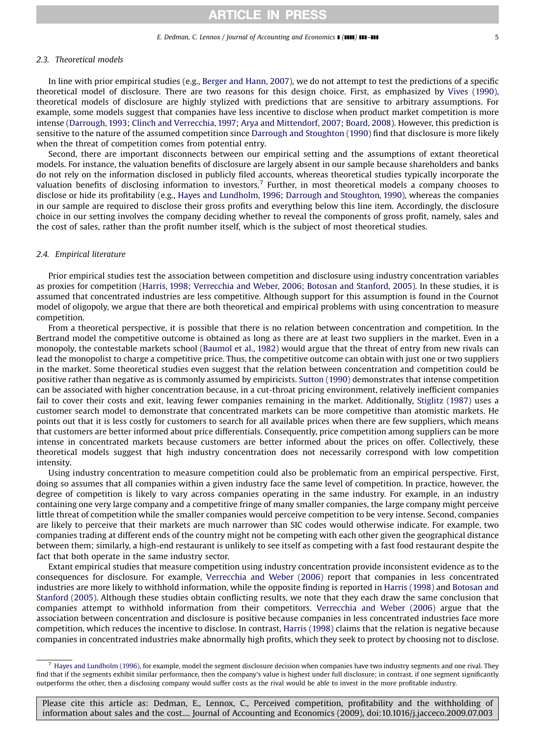#### 2.3. Theoretical models

In line with prior empirical studies (e.g., [Berger and Hann, 2007\)](#page-19-0), we do not attempt to test the predictions of a specific theoretical model of disclosure. There are two reasons for this design choice. First, as emphasized by [Vives \(1990\)](#page-20-0), theoretical models of disclosure are highly stylized with predictions that are sensitive to arbitrary assumptions. For example, some models suggest that companies have less incentive to disclose when product market competition is more intense ([Darrough, 1993](#page-19-0); [Clinch and Verrecchia, 1997](#page-19-0); [Arya and Mittendorf, 2007;](#page-19-0) [Board, 2008](#page-19-0)). However, this prediction is sensitive to the nature of the assumed competition since [Darrough and Stoughton \(1990\)](#page-19-0) find that disclosure is more likely when the threat of competition comes from potential entry.

Second, there are important disconnects between our empirical setting and the assumptions of extant theoretical models. For instance, the valuation benefits of disclosure are largely absent in our sample because shareholders and banks do not rely on the information disclosed in publicly filed accounts, whereas theoretical studies typically incorporate the valuation benefits of disclosing information to investors.<sup>7</sup> Further, in most theoretical models a company chooses to disclose or hide its profitability (e.g., [Hayes and Lundholm, 1996;](#page-19-0) [Darrough and Stoughton, 1990](#page-19-0)), whereas the companies in our sample are required to disclose their gross profits and everything below this line item. Accordingly, the disclosure choice in our setting involves the company deciding whether to reveal the components of gross profit, namely, sales and the cost of sales, rather than the profit number itself, which is the subject of most theoretical studies.

#### 2.4. Empirical literature

Prior empirical studies test the association between competition and disclosure using industry concentration variables as proxies for competition ([Harris, 1998;](#page-19-0) [Verrecchia and Weber, 2006](#page-20-0); [Botosan and Stanford, 2005\)](#page-19-0). In these studies, it is assumed that concentrated industries are less competitive. Although support for this assumption is found in the Cournot model of oligopoly, we argue that there are both theoretical and empirical problems with using concentration to measure competition.

From a theoretical perspective, it is possible that there is no relation between concentration and competition. In the Bertrand model the competitive outcome is obtained as long as there are at least two suppliers in the market. Even in a monopoly, the contestable markets school ([Baumol et al., 1982](#page-19-0)) would argue that the threat of entry from new rivals can lead the monopolist to charge a competitive price. Thus, the competitive outcome can obtain with just one or two suppliers in the market. Some theoretical studies even suggest that the relation between concentration and competition could be positive rather than negative as is commonly assumed by empiricists. [Sutton \(1990\)](#page-20-0) demonstrates that intense competition can be associated with higher concentration because, in a cut-throat pricing environment, relatively inefficient companies fail to cover their costs and exit, leaving fewer companies remaining in the market. Additionally, [Stiglitz \(1987\)](#page-20-0) uses a customer search model to demonstrate that concentrated markets can be more competitive than atomistic markets. He points out that it is less costly for customers to search for all available prices when there are few suppliers, which means that customers are better informed about price differentials. Consequently, price competition among suppliers can be more intense in concentrated markets because customers are better informed about the prices on offer. Collectively, these theoretical models suggest that high industry concentration does not necessarily correspond with low competition intensity.

Using industry concentration to measure competition could also be problematic from an empirical perspective. First, doing so assumes that all companies within a given industry face the same level of competition. In practice, however, the degree of competition is likely to vary across companies operating in the same industry. For example, in an industry containing one very large company and a competitive fringe of many smaller companies, the large company might perceive little threat of competition while the smaller companies would perceive competition to be very intense. Second, companies are likely to perceive that their markets are much narrower than SIC codes would otherwise indicate. For example, two companies trading at different ends of the country might not be competing with each other given the geographical distance between them; similarly, a high-end restaurant is unlikely to see itself as competing with a fast food restaurant despite the fact that both operate in the same industry sector.

Extant empirical studies that measure competition using industry concentration provide inconsistent evidence as to the consequences for disclosure. For example, [Verrecchia and Weber \(2006\)](#page-20-0) report that companies in less concentrated industries are more likely to withhold information, while the opposite finding is reported in [Harris \(1998\)](#page-19-0) and [Botosan and](#page-19-0) [Stanford \(2005\)](#page-19-0). Although these studies obtain conflicting results, we note that they each draw the same conclusion that companies attempt to withhold information from their competitors. [Verrecchia and Weber \(2006\)](#page-20-0) argue that the association between concentration and disclosure is positive because companies in less concentrated industries face more competition, which reduces the incentive to disclose. In contrast, [Harris \(1998\)](#page-19-0) claims that the relation is negative because companies in concentrated industries make abnormally high profits, which they seek to protect by choosing not to disclose.

<sup>7</sup> [Hayes and Lundholm \(1996\),](#page-19-0) for example, model the segment disclosure decision when companies have two industry segments and one rival. They find that if the segments exhibit similar performance, then the company's value is highest under full disclosure; in contrast, if one segment significantly outperforms the other, then a disclosing company would suffer costs as the rival would be able to invest in the more profitable industry.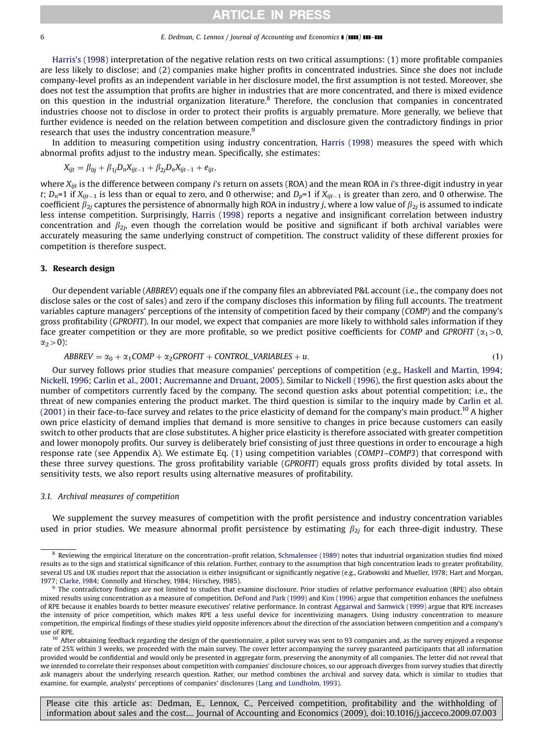#### 6 **E. Dedman, C. Lennox** / Journal of Accounting and Economics **1 (1111) 111-111**

[Harris's \(1998\)](#page-19-0) interpretation of the negative relation rests on two critical assumptions: (1) more profitable companies are less likely to disclose; and (2) companies make higher profits in concentrated industries. Since she does not include company-level profits as an independent variable in her disclosure model, the first assumption is not tested. Moreover, she does not test the assumption that profits are higher in industries that are more concentrated, and there is mixed evidence on this question in the industrial organization literature.<sup>8</sup> Therefore, the conclusion that companies in concentrated industries choose not to disclose in order to protect their profits is arguably premature. More generally, we believe that further evidence is needed on the relation between competition and disclosure given the contradictory findings in prior research that uses the industry concentration measure.<sup>9</sup>

In addition to measuring competition using industry concentration, [Harris \(1998\)](#page-19-0) measures the speed with which abnormal profits adjust to the industry mean. Specifically, she estimates:

$$
X_{ijt} = \beta_{0j} + \beta_{1j}D_nX_{ijt-1} + \beta_{2j}D_nX_{ijt-1} + e_{ijt},
$$

where  $X_{ijt}$  is the difference between company i's return on assets (ROA) and the mean ROA in i's three-digit industry in year *t*;  $D_n$ =1 if  $X_{ijt-1}$  is less than or equal to zero, and 0 otherwise; and  $D_p$ =1 if  $X_{ijt-1}$  is greater than zero, and 0 otherwise. The coefficient  $\beta_{2j}$  captures the persistence of abnormally high ROA in industry j, where a low value of  $\beta_{2j}$  is assumed to indicate less intense competition. Surprisingly, [Harris \(1998\)](#page-19-0) reports a negative and insignificant correlation between industry concentration and  $\beta_{2j}$ , even though the correlation would be positive and significant if both archival variables were accurately measuring the same underlying construct of competition. The construct validity of these different proxies for competition is therefore suspect.

### 3. Research design

Our dependent variable (ABBREV) equals one if the company files an abbreviated P&L account (i.e., the company does not disclose sales or the cost of sales) and zero if the company discloses this information by filing full accounts. The treatment variables capture managers' perceptions of the intensity of competition faced by their company (COMP) and the company's gross profitability (GPROFIT). In our model, we expect that companies are more likely to withhold sales information if they face greater competition or they are more profitable, so we predict positive coefficients for COMP and GPROFIT ( $\alpha_1$  > 0,  $\alpha_2 > 0$ ):

 $ABBREV = \alpha_0 + \alpha_1COMP + \alpha_2GPROFIT + CONTROL_VARIABLES + u.$  (1)

Our survey follows prior studies that measure companies' perceptions of competition (e.g., [Haskell and Martin, 1994](#page-19-0); [Nickell, 1996](#page-20-0); [Carlin et al., 2001](#page-19-0); [Aucremanne and Druant, 2005\)](#page-19-0). Similar to [Nickell \(1996\)](#page-20-0), the first question asks about the number of competitors currently faced by the company. The second question asks about potential competition; i.e., the threat of new companies entering the product market. The third question is similar to the inquiry made by [Carlin et al.](#page-19-0)  $(2001)$  in their face-to-face survey and relates to the price elasticity of demand for the company's main product.<sup>10</sup> A higher own price elasticity of demand implies that demand is more sensitive to changes in price because customers can easily switch to other products that are close substitutes. A higher price elasticity is therefore associated with greater competition and lower monopoly profits. Our survey is deliberately brief consisting of just three questions in order to encourage a high response rate (see Appendix A). We estimate Eq. (1) using competition variables (COMP1–COMP3) that correspond with these three survey questions. The gross profitability variable (GPROFIT) equals gross profits divided by total assets. In sensitivity tests, we also report results using alternative measures of profitability.

#### 3.1. Archival measures of competition

We supplement the survey measures of competition with the profit persistence and industry concentration variables used in prior studies. We measure abnormal profit persistence by estimating  $\beta_{2i}$  for each three-digit industry. These

 $8$  Reviewing the empirical literature on the concentration–profit relation, [Schmalensee \(1989\)](#page-20-0) notes that industrial organization studies find mixed results as to the sign and statistical significance of this relation. Further, contrary to the assumption that high concentration leads to greater profitability, several US and UK studies report that the association is either insignificant or significantly negative (e.g., Grabowski and Mueller, 1978; Hart and Morgan, 1977; [Clarke, 1984;](#page-19-0) Connolly and Hirschey, 1984; Hirschey, 1985).

<sup>9</sup> The contradictory findings are not limited to studies that examine disclosure. Prior studies of relative performance evaluation (RPE) also obtain mixed results using concentration as a measure of competition. [DeFond and Park \(1999\)](#page-19-0) and [Kim \(1996\)](#page-19-0) argue that competition enhances the usefulness of RPE because it enables boards to better measure executives' relative performance. In contrast [Aggarwal and Samwick \(1999\)](#page-19-0) argue that RPE increases the intensity of price competition, which makes RPE a less useful device for incentivizing managers. Using industry concentration to measure competition, the empirical findings of these studies yield opposite inferences about the direction of the association between competition and a company's use of RPE.

 $10$  After obtaining feedback regarding the design of the questionnaire, a pilot survey was sent to 93 companies and, as the survey enjoyed a response rate of 25% within 3 weeks, we proceeded with the main survey. The cover letter accompanying the survey guaranteed participants that all information provided would be confidential and would only be presented in aggregate form, preserving the anonymity of all companies. The letter did not reveal that we intended to correlate their responses about competition with companies' disclosure choices, so our approach diverges from survey studies that directly ask managers about the underlying research question. Rather, our method combines the archival and survey data, which is similar to studies that examine, for example, analysts' perceptions of companies' disclosures ([Lang and Lundholm, 1993](#page-19-0)).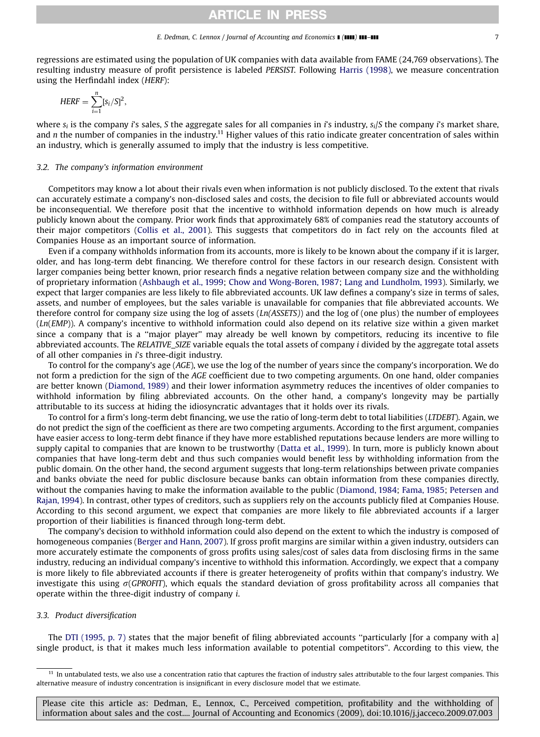regressions are estimated using the population of UK companies with data available from FAME (24,769 observations). The resulting industry measure of profit persistence is labeled PERSIST. Following [Harris \(1998\)](#page-19-0), we measure concentration using the Herfindahl index (HERF):

$$
HERF = \sum_{i=1}^{n} [s_i/S]^2,
$$

where  $s_i$  is the company i's sales, S the aggregate sales for all companies in i's industry,  $s_i/S$  the company i's market share, and *n* the number of companies in the industry.<sup>11</sup> Higher values of this ratio indicate greater concentration of sales within an industry, which is generally assumed to imply that the industry is less competitive.

#### 3.2. The company's information environment

Competitors may know a lot about their rivals even when information is not publicly disclosed. To the extent that rivals can accurately estimate a company's non-disclosed sales and costs, the decision to file full or abbreviated accounts would be inconsequential. We therefore posit that the incentive to withhold information depends on how much is already publicly known about the company. Prior work finds that approximately 68% of companies read the statutory accounts of their major competitors ([Collis et al., 2001](#page-19-0)). This suggests that competitors do in fact rely on the accounts filed at Companies House as an important source of information.

Even if a company withholds information from its accounts, more is likely to be known about the company if it is larger, older, and has long-term debt financing. We therefore control for these factors in our research design. Consistent with larger companies being better known, prior research finds a negative relation between company size and the withholding of proprietary information ([Ashbaugh et al., 1999](#page-19-0); [Chow and Wong-Boren, 1987](#page-19-0); [Lang and Lundholm, 1993](#page-19-0)). Similarly, we expect that larger companies are less likely to file abbreviated accounts. UK law defines a company's size in terms of sales, assets, and number of employees, but the sales variable is unavailable for companies that file abbreviated accounts. We therefore control for company size using the log of assets  $(Ln(ASSETS))$  and the log of (one plus) the number of employees (Ln(EMP)). A company's incentive to withhold information could also depend on its relative size within a given market since a company that is a ''major player'' may already be well known by competitors, reducing its incentive to file abbreviated accounts. The RELATIVE\_SIZE variable equals the total assets of company i divided by the aggregate total assets of all other companies in i's three-digit industry.

To control for the company's age (AGE), we use the log of the number of years since the company's incorporation. We do not form a prediction for the sign of the AGE coefficient due to two competing arguments. On one hand, older companies are better known [\(Diamond, 1989\)](#page-19-0) and their lower information asymmetry reduces the incentives of older companies to withhold information by filing abbreviated accounts. On the other hand, a company's longevity may be partially attributable to its success at hiding the idiosyncratic advantages that it holds over its rivals.

To control for a firm's long-term debt financing, we use the ratio of long-term debt to total liabilities (LTDEBT). Again, we do not predict the sign of the coefficient as there are two competing arguments. According to the first argument, companies have easier access to long-term debt finance if they have more established reputations because lenders are more willing to supply capital to companies that are known to be trustworthy ([Datta et al., 1999](#page-19-0)). In turn, more is publicly known about companies that have long-term debt and thus such companies would benefit less by withholding information from the public domain. On the other hand, the second argument suggests that long-term relationships between private companies and banks obviate the need for public disclosure because banks can obtain information from these companies directly, without the companies having to make the information available to the public ([Diamond, 1984](#page-19-0); [Fama, 1985](#page-19-0); [Petersen and](#page-20-0) [Rajan, 1994](#page-20-0)). In contrast, other types of creditors, such as suppliers rely on the accounts publicly filed at Companies House. According to this second argument, we expect that companies are more likely to file abbreviated accounts if a larger proportion of their liabilities is financed through long-term debt.

The company's decision to withhold information could also depend on the extent to which the industry is composed of homogeneous companies ([Berger and Hann, 2007](#page-19-0)). If gross profit margins are similar within a given industry, outsiders can more accurately estimate the components of gross profits using sales/cost of sales data from disclosing firms in the same industry, reducing an individual company's incentive to withhold this information. Accordingly, we expect that a company is more likely to file abbreviated accounts if there is greater heterogeneity of profits within that company's industry. We investigate this using  $\sigma$ (GPROFIT), which equals the standard deviation of gross profitability across all companies that operate within the three-digit industry of company i.

#### 3.3. Product diversification

The [DTI \(1995, p. 7\)](#page-19-0) states that the major benefit of filing abbreviated accounts ''particularly [for a company with a] single product, is that it makes much less information available to potential competitors''. According to this view, the

<sup>&</sup>lt;sup>11</sup> In untabulated tests, we also use a concentration ratio that captures the fraction of industry sales attributable to the four largest companies. This alternative measure of industry concentration is insignificant in every disclosure model that we estimate.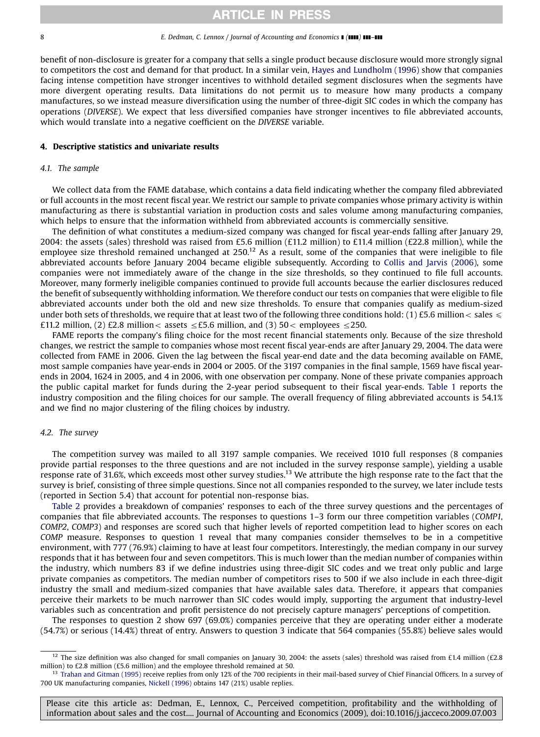#### 8 **E. Dedman, C. Lennox** / Journal of Accounting and Economics **[(1111) 111-111**

benefit of non-disclosure is greater for a company that sells a single product because disclosure would more strongly signal to competitors the cost and demand for that product. In a similar vein, [Hayes and Lundholm \(1996\)](#page-19-0) show that companies facing intense competition have stronger incentives to withhold detailed segment disclosures when the segments have more divergent operating results. Data limitations do not permit us to measure how many products a company manufactures, so we instead measure diversification using the number of three-digit SIC codes in which the company has operations (DIVERSE). We expect that less diversified companies have stronger incentives to file abbreviated accounts, which would translate into a negative coefficient on the DIVERSE variable.

#### 4. Descriptive statistics and univariate results

#### 4.1. The sample

We collect data from the FAME database, which contains a data field indicating whether the company filed abbreviated or full accounts in the most recent fiscal year. We restrict our sample to private companies whose primary activity is within manufacturing as there is substantial variation in production costs and sales volume among manufacturing companies, which helps to ensure that the information withheld from abbreviated accounts is commercially sensitive.

The definition of what constitutes a medium-sized company was changed for fiscal year-ends falling after January 29, 2004: the assets (sales) threshold was raised from £5.6 million (£11.2 million) to £11.4 million (£22.8 million), while the employee size threshold remained unchanged at 250.<sup>12</sup> As a result, some of the companies that were ineligible to file abbreviated accounts before January 2004 became eligible subsequently. According to [Collis and Jarvis \(2006\),](#page-19-0) some companies were not immediately aware of the change in the size thresholds, so they continued to file full accounts. Moreover, many formerly ineligible companies continued to provide full accounts because the earlier disclosures reduced the benefit of subsequently withholding information. We therefore conduct our tests on companies that were eligible to file abbreviated accounts under both the old and new size thresholds. To ensure that companies qualify as medium-sized under both sets of thresholds, we require that at least two of the following three conditions hold: (1) £5.6 million  $<$  sales  $\leq$ £11.2 million, (2) £2.8 million < assets  $\leq$ £5.6 million, and (3) 50 < employees  $\leq$ 250.

FAME reports the company's filing choice for the most recent financial statements only. Because of the size threshold changes, we restrict the sample to companies whose most recent fiscal year-ends are after January 29, 2004. The data were collected from FAME in 2006. Given the lag between the fiscal year-end date and the data becoming available on FAME, most sample companies have year-ends in 2004 or 2005. Of the 3197 companies in the final sample, 1569 have fiscal yearends in 2004, 1624 in 2005, and 4 in 2006, with one observation per company. None of these private companies approach the public capital market for funds during the 2-year period subsequent to their fiscal year-ends. Table 1 reports the industry composition and the filing choices for our sample. The overall frequency of filing abbreviated accounts is 54.1% and we find no major clustering of the filing choices by industry.

#### 4.2. The survey

The competition survey was mailed to all 3197 sample companies. We received 1010 full responses (8 companies provide partial responses to the three questions and are not included in the survey response sample), yielding a usable response rate of 31.6%, which exceeds most other survey studies.<sup>13</sup> We attribute the high response rate to the fact that the survey is brief, consisting of three simple questions. Since not all companies responded to the survey, we later include tests (reported in Section 5.4) that account for potential non-response bias.

Table 2 provides a breakdown of companies' responses to each of the three survey questions and the percentages of companies that file abbreviated accounts. The responses to questions 1–3 form our three competition variables (COMP1, COMP2, COMP3) and responses are scored such that higher levels of reported competition lead to higher scores on each COMP measure. Responses to question 1 reveal that many companies consider themselves to be in a competitive environment, with 777 (76.9%) claiming to have at least four competitors. Interestingly, the median company in our survey responds that it has between four and seven competitors. This is much lower than the median number of companies within the industry, which numbers 83 if we define industries using three-digit SIC codes and we treat only public and large private companies as competitors. The median number of competitors rises to 500 if we also include in each three-digit industry the small and medium-sized companies that have available sales data. Therefore, it appears that companies perceive their markets to be much narrower than SIC codes would imply, supporting the argument that industry-level variables such as concentration and profit persistence do not precisely capture managers' perceptions of competition.

The responses to question 2 show 697 (69.0%) companies perceive that they are operating under either a moderate (54.7%) or serious (14.4%) threat of entry. Answers to question 3 indicate that 564 companies (55.8%) believe sales would

<sup>&</sup>lt;sup>12</sup> The size definition was also changed for small companies on January 30, 2004: the assets (sales) threshold was raised from £1.4 million (£2.8 million) to £2.8 million (£5.6 million) and the employee threshold remained at 50.

<sup>&</sup>lt;sup>13</sup> [Trahan and Gitman \(1995\)](#page-20-0) receive replies from only 12% of the 700 recipients in their mail-based survey of Chief Financial Officers. In a survey of 700 UK manufacturing companies, [Nickell \(1996\)](#page-20-0) obtains 147 (21%) usable replies.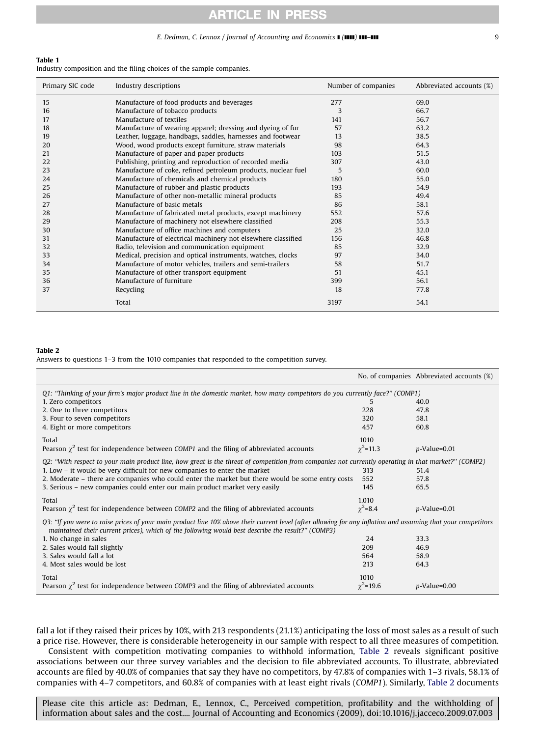#### E. Dedman, C. Lennox / Journal of Accounting and Economics **([IIII]) III–III** 99

#### Table 1

Industry composition and the filing choices of the sample companies.

| Primary SIC code | Industry descriptions                                         | Number of companies | Abbreviated accounts (%) |
|------------------|---------------------------------------------------------------|---------------------|--------------------------|
| 15               | Manufacture of food products and beverages                    | 277                 | 69.0                     |
| 16               | Manufacture of tobacco products                               | 3                   | 66.7                     |
| 17               | Manufacture of textiles                                       | 141                 | 56.7                     |
| 18               | Manufacture of wearing apparel; dressing and dyeing of fur    | 57                  | 63.2                     |
| 19               | Leather, luggage, handbags, saddles, harnesses and footwear   | 13                  | 38.5                     |
| 20               | Wood, wood products except furniture, straw materials         | 98                  | 64.3                     |
| 21               | Manufacture of paper and paper products                       | 103                 | 51.5                     |
| 22               | Publishing, printing and reproduction of recorded media       | 307                 | 43.0                     |
| 23               | Manufacture of coke, refined petroleum products, nuclear fuel | 5                   | 60.0                     |
| 24               | Manufacture of chemicals and chemical products                | 180                 | 55.0                     |
| 25               | Manufacture of rubber and plastic products                    | 193                 | 54.9                     |
| 26               | Manufacture of other non-metallic mineral products            | 85                  | 49.4                     |
| 27               | Manufacture of basic metals                                   | 86                  | 58.1                     |
| 28               | Manufacture of fabricated metal products, except machinery    | 552                 | 57.6                     |
| 29               | Manufacture of machinery not elsewhere classified             | 208                 | 55.3                     |
| 30               | Manufacture of office machines and computers                  | 25                  | 32.0                     |
| 31               | Manufacture of electrical machinery not elsewhere classified  | 156                 | 46.8                     |
| 32               | Radio, television and communication equipment                 | 85                  | 32.9                     |
| 33               | Medical, precision and optical instruments, watches, clocks   | 97                  | 34.0                     |
| 34               | Manufacture of motor vehicles, trailers and semi-trailers     | 58                  | 51.7                     |
| 35               | Manufacture of other transport equipment                      | 51                  | 45.1                     |
| 36               | Manufacture of furniture                                      | 399                 | 56.1                     |
| 37               | Recycling                                                     | 18                  | 77.8                     |
|                  | Total                                                         | 3197                | 54.1                     |

#### Table 2

Answers to questions 1–3 from the 1010 companies that responded to the competition survey.

|                                                                                                                                                                                                                                                                    |                  | No. of companies Abbreviated accounts (%) |  |  |  |  |  |  |
|--------------------------------------------------------------------------------------------------------------------------------------------------------------------------------------------------------------------------------------------------------------------|------------------|-------------------------------------------|--|--|--|--|--|--|
| Q1: "Thinking of your firm's major product line in the domestic market, how many competitors do you currently face?" (COMP1)                                                                                                                                       |                  |                                           |  |  |  |  |  |  |
| 1. Zero competitors                                                                                                                                                                                                                                                | 5                | 40.0                                      |  |  |  |  |  |  |
| 2. One to three competitors                                                                                                                                                                                                                                        | 228              | 47.8                                      |  |  |  |  |  |  |
| 3. Four to seven competitors                                                                                                                                                                                                                                       | 320              | 58.1                                      |  |  |  |  |  |  |
| 4. Eight or more competitors                                                                                                                                                                                                                                       | 457              | 60.8                                      |  |  |  |  |  |  |
| Total                                                                                                                                                                                                                                                              | 1010             |                                           |  |  |  |  |  |  |
| Pearson $\chi^2$ test for independence between COMP1 and the filing of abbreviated accounts                                                                                                                                                                        | $\gamma^2$ =11.3 | $p$ -Value=0.01                           |  |  |  |  |  |  |
| Q2: "With respect to your main product line, how great is the threat of competition from companies not currently operating in that market?" (COMP2)                                                                                                                |                  |                                           |  |  |  |  |  |  |
| 1. Low – it would be very difficult for new companies to enter the market                                                                                                                                                                                          | 313              | 51.4                                      |  |  |  |  |  |  |
| 2. Moderate – there are companies who could enter the market but there would be some entry costs                                                                                                                                                                   | 552              | 57.8                                      |  |  |  |  |  |  |
| 3. Serious – new companies could enter our main product market very easily                                                                                                                                                                                         | 145              | 65.5                                      |  |  |  |  |  |  |
| Total                                                                                                                                                                                                                                                              | 1,010            |                                           |  |  |  |  |  |  |
| Pearson $\chi^2$ test for independence between COMP2 and the filing of abbreviated accounts                                                                                                                                                                        | $\gamma^2 = 8.4$ | $p$ -Value=0.01                           |  |  |  |  |  |  |
| Q3: "If you were to raise prices of your main product line 10% above their current level (after allowing for any inflation and assuming that your competitors<br>maintained their current prices), which of the following would best describe the result?" (COMP3) |                  |                                           |  |  |  |  |  |  |
| 1. No change in sales                                                                                                                                                                                                                                              | 24               | 33.3                                      |  |  |  |  |  |  |
| 2. Sales would fall slightly                                                                                                                                                                                                                                       | 209              | 46.9                                      |  |  |  |  |  |  |
| 3. Sales would fall a lot                                                                                                                                                                                                                                          | 564              | 58.9                                      |  |  |  |  |  |  |
| 4. Most sales would be lost                                                                                                                                                                                                                                        | 213              | 64.3                                      |  |  |  |  |  |  |
| Total                                                                                                                                                                                                                                                              | 1010             |                                           |  |  |  |  |  |  |
| Pearson $\chi^2$ test for independence between COMP3 and the filing of abbreviated accounts                                                                                                                                                                        | $\gamma^2$ =19.6 | $p$ -Value=0.00                           |  |  |  |  |  |  |

fall a lot if they raised their prices by 10%, with 213 respondents (21.1%) anticipating the loss of most sales as a result of such a price rise. However, there is considerable heterogeneity in our sample with respect to all three measures of competition.

Consistent with competition motivating companies to withhold information, Table 2 reveals significant positive associations between our three survey variables and the decision to file abbreviated accounts. To illustrate, abbreviated accounts are filed by 40.0% of companies that say they have no competitors, by 47.8% of companies with 1–3 rivals, 58.1% of companies with 4–7 competitors, and 60.8% of companies with at least eight rivals (COMP1). Similarly, Table 2 documents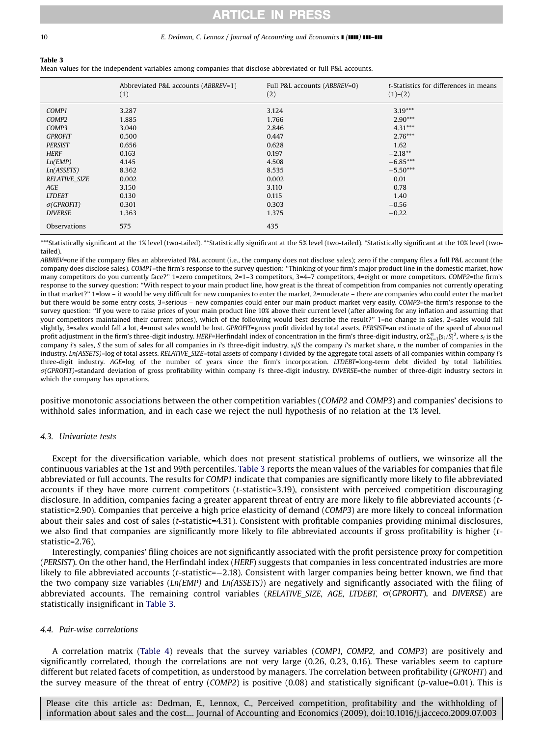#### 10 **E. Dedman, C. Lennox** / Journal of Accounting and Economics **[(1111) 111-111**

#### Table 3

Mean values for the independent variables among companies that disclose abbreviated or full P&L accounts.

|                      | Abbreviated P&L accounts (ABBREV=1)<br>(1) | Full P&L accounts (ABBREV=0)<br>(2) | t-Statistics for differences in means<br>$(1)-(2)$ |
|----------------------|--------------------------------------------|-------------------------------------|----------------------------------------------------|
| COMP1                | 3.287                                      | 3.124                               | $3.19***$                                          |
| COMP <sub>2</sub>    | 1.885                                      | 1.766                               | $2.90***$                                          |
| COMP3                | 3.040                                      | 2.846                               | $4.31***$                                          |
| <b>GPROFIT</b>       | 0.500                                      | 0.447                               | $2.76***$                                          |
| <b>PERSIST</b>       | 0.656                                      | 0.628                               | 1.62                                               |
| <b>HERF</b>          | 0.163                                      | 0.197                               | $-2.18***$                                         |
| Ln(EMP)              | 4.145                                      | 4.508                               | $-6.85***$                                         |
| Ln(ASSETS)           | 8.362                                      | 8.535                               | $-5.50***$                                         |
| <b>RELATIVE SIZE</b> | 0.002                                      | 0.002                               | 0.01                                               |
| AGE                  | 3.150                                      | 3.110                               | 0.78                                               |
| <b>LTDEBT</b>        | 0.130                                      | 0.115                               | 1.40                                               |
| $\sigma$ (GPROFIT)   | 0.301                                      | 0.303                               | $-0.56$                                            |
| <b>DIVERSE</b>       | 1.363                                      | 1.375                               | $-0.22$                                            |
| Observations         | 575                                        | 435                                 |                                                    |

\*\*\*Statistically significant at the 1% level (two-tailed). \*\*Statistically significant at the 5% level (two-tailed). \*Statistically significant at the 10% level (twotailed).

ABBREV=one if the company files an abbreviated P&L account (i.e., the company does not disclose sales); zero if the company files a full P&L account (the company does disclose sales). COMP1=the firm's response to the survey question: ''Thinking of your firm's major product line in the domestic market, how many competitors do you currently face?'' 1=zero competitors, 2=1–3 competitors, 3=4–7 competitors, 4=eight or more competitors. COMP2=the firm's response to the survey question: ''With respect to your main product line, how great is the threat of competition from companies not currently operating in that market?'' 1=low – it would be very difficult for new companies to enter the market, 2=moderate – there are companies who could enter the market but there would be some entry costs, 3=serious – new companies could enter our main product market very easily. COMP3=the firm's response to the survey question: ''If you were to raise prices of your main product line 10% above their current level (after allowing for any inflation and assuming that your competitors maintained their current prices), which of the following would best describe the result?'' 1=no change in sales, 2=sales would fall slightly, 3=sales would fall a lot, 4=most sales would be lost. GPROFIT=gross profit divided by total assets. PERSIST=an estimate of the speed of abnormal profit adjustment in the firm's three-digit industry. HERF=Herfindahl index of concentration in the firm's three-digit industry, or $\Sigma_{i=1}^n [s_i/S]^2$ , where  $s_i$  is the company i's sales, S the sum of sales for all companies in i's three-digit industry,  $s_i/S$  the company i's market share, n the number of companies in the industry. Ln(ASSETS)=log of total assets. RELATIVE\_SIZE=total assets of company i divided by the aggregate total assets of all companies within company i's three-digit industry. AGE=log of the number of years since the firm's incorporation. LTDEBT=long-term debt divided by total liabilities.  $\sigma$ (GPROFIT)=standard deviation of gross profitability within company i's three-digit industry. DIVERSE=the number of three-digit industry sectors in which the company has operations.

positive monotonic associations between the other competition variables (COMP2 and COMP3) and companies' decisions to withhold sales information, and in each case we reject the null hypothesis of no relation at the 1% level.

#### 4.3. Univariate tests

Except for the diversification variable, which does not present statistical problems of outliers, we winsorize all the continuous variables at the 1st and 99th percentiles. Table 3 reports the mean values of the variables for companies that file abbreviated or full accounts. The results for COMP1 indicate that companies are significantly more likely to file abbreviated accounts if they have more current competitors (t-statistic=3.19), consistent with perceived competition discouraging disclosure. In addition, companies facing a greater apparent threat of entry are more likely to file abbreviated accounts (tstatistic=2.90). Companies that perceive a high price elasticity of demand (COMP3) are more likely to conceal information about their sales and cost of sales (t-statistic=4.31). Consistent with profitable companies providing minimal disclosures, we also find that companies are significantly more likely to file abbreviated accounts if gross profitability is higher (tstatistic=2.76).

Interestingly, companies' filing choices are not significantly associated with the profit persistence proxy for competition (PERSIST). On the other hand, the Herfindahl index (HERF) suggests that companies in less concentrated industries are more likely to file abbreviated accounts (t-statistic=-2.18). Consistent with larger companies being better known, we find that the two company size variables ( $Ln(EMP)$  and  $Ln(ASSETS)$ ) are negatively and significantly associated with the filing of abbreviated accounts. The remaining control variables (RELATIVE\_SIZE, AGE, LTDEBT,  $\sigma$ (GPROFIT), and DIVERSE) are statistically insignificant in Table 3.

#### 4.4. Pair-wise correlations

A correlation matrix (Table 4) reveals that the survey variables (COMP1, COMP2, and COMP3) are positively and significantly correlated, though the correlations are not very large (0.26, 0.23, 0.16). These variables seem to capture different but related facets of competition, as understood by managers. The correlation between profitability (GPROFIT) and the survey measure of the threat of entry (COMP2) is positive (0.08) and statistically significant (p-value=0.01). This is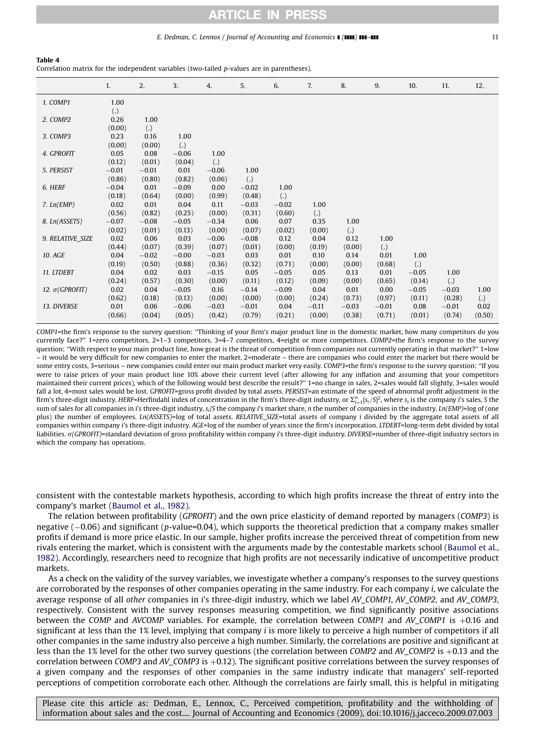#### E. Dedman, C. Lennox / Journal of Accounting and Economics ] (]]]]) ]]]–]]] 11

#### Table 4

Correlation matrix for the independent variables (two-tailed p-values are in parentheses).

|                  | 1.      | 2.      | 3.      | 4.      | 5.      | 6.      | 7.      | 8.      | 9.      | 10.     | 11.     | 12.    |
|------------------|---------|---------|---------|---------|---------|---------|---------|---------|---------|---------|---------|--------|
| 1. COMP1         | 1.00    |         |         |         |         |         |         |         |         |         |         |        |
|                  | (.)     |         |         |         |         |         |         |         |         |         |         |        |
| 2. COMP2         | 0.26    | 1.00    |         |         |         |         |         |         |         |         |         |        |
|                  | (0.00)  | (.)     |         |         |         |         |         |         |         |         |         |        |
| 3. COMP3         | 0.23    | 0.16    | 1.00    |         |         |         |         |         |         |         |         |        |
|                  | (0.00)  | (0.00)  | (.)     |         |         |         |         |         |         |         |         |        |
| 4. GPROFIT       | 0.05    | 0.08    | $-0.06$ | 1.00    |         |         |         |         |         |         |         |        |
|                  | (0.12)  | (0.01)  | (0.04)  | (.)     |         |         |         |         |         |         |         |        |
| 5. PERSIST       | $-0.01$ | $-0.01$ | 0.01    | $-0.06$ | 1.00    |         |         |         |         |         |         |        |
|                  | (0.86)  | (0.80)  | (0.82)  | (0.06)  | (.)     |         |         |         |         |         |         |        |
| 6. HERF          | $-0.04$ | 0.01    | $-0.09$ | 0.00    | $-0.02$ | 1.00    |         |         |         |         |         |        |
|                  | (0.18)  | (0.64)  | (0.00)  | (0.99)  | (0.48)  | (.)     |         |         |         |         |         |        |
| $7.$ Ln(EMP)     | 0.02    | 0.01    | 0.04    | 0.11    | $-0.03$ | $-0.02$ | 1.00    |         |         |         |         |        |
|                  | (0.56)  | (0.82)  | (0.25)  | (0.00)  | (0.31)  | (0.60)  | (.)     |         |         |         |         |        |
| 8. Ln(ASSETS)    | $-0.07$ | $-0.08$ | $-0.05$ | $-0.34$ | 0.06    | 0.07    | 0.35    | 1.00    |         |         |         |        |
|                  | (0.02)  | (0.01)  | (0.13)  | (0.00)  | (0.07)  | (0.02)  | (0.00)  | (.)     |         |         |         |        |
| 9. RELATIVE_SIZE | 0.02    | 0.06    | 0.03    | $-0.06$ | $-0.08$ | 0.12    | 0.04    | 0.12    | 1.00    |         |         |        |
|                  | (0.44)  | (0.07)  | (0.39)  | (0.07)  | (0.01)  | (0.00)  | (0.19)  | (0.00)  | (.)     |         |         |        |
| 10. AGE          | 0.04    | $-0.02$ | $-0.00$ | $-0.03$ | 0.03    | 0.01    | 0.10    | 0.14    | 0.01    | 1.00    |         |        |
|                  | (0.19)  | (0.50)  | (0.88)  | (0.36)  | (0.32)  | (0.71)  | (0.00)  | (0.00)  | (0.68)  | (.)     |         |        |
| 11. LTDEBT       | 0.04    | 0.02    | 0.03    | $-0.15$ | 0.05    | $-0.05$ | 0.05    | 0.13    | 0.01    | $-0.05$ | 1.00    |        |
|                  | (0.24)  | (0.57)  | (0.30)  | (0.00)  | (0.11)  | (0.12)  | (0.09)  | (0.00)  | (0.65)  | (0.14)  | (.)     |        |
| 12. $σ(GPROFIT)$ | 0.02    | 0.04    | $-0.05$ | 0.16    | $-0.14$ | $-0.09$ | 0.04    | 0.01    | 0.00    | $-0.05$ | $-0.03$ | 1.00   |
|                  | (0.62)  | (0.18)  | (0.13)  | (0.00)  | (0.00)  | (0.00)  | (0.24)  | (0.73)  | (0.97)  | (0.11)  | (0.28)  | (.)    |
| 13. DIVERSE      | 0.01    | 0.06    | $-0.06$ | $-0.03$ | $-0.01$ | 0.04    | $-0.11$ | $-0.03$ | $-0.01$ | 0.08    | $-0.01$ | 0.02   |
|                  | (0.66)  | (0.04)  | (0.05)  | (0.42)  | (0.79)  | (0.21)  | (0.00)  | (0.38)  | (0.71)  | (0.01)  | (0.74)  | (0.50) |
|                  |         |         |         |         |         |         |         |         |         |         |         |        |

COMP1=the firm's response to the survey question: ''Thinking of your firm's major product line in the domestic market, how many competitors do you currently face?'' 1=zero competitors, 2=1–3 competitors, 3=4–7 competitors, 4=eight or more competitors. COMP2=the firm's response to the survey question: ''With respect to your main product line, how great is the threat of competition from companies not currently operating in that market?'' 1=low – it would be very difficult for new companies to enter the market, 2=moderate – there are companies who could enter the market but there would be some entry costs, 3=serious – new companies could enter our main product market very easily. COMP3=the firm's response to the survey question: "If you were to raise prices of your main product line 10% above their current level (after allowing for any inflation and assuming that your competitors maintained their current prices), which of the following would best describe the result?" 1=no change in sales, 2=sales would fall slightly, 3=sales would fall a lot, 4=most sales would be lost. GPROFIT=gross profit divided by total assets. PERSIST=an estimate of the speed of abnormal profit adjustment in the firm's three-digit industry. HERF=Herfindahl index of concentration in the firm's three-digit industry, or  $\Sigma_{i=1}^n [s_i/S]^2,$  where  $s_i$  is the company i's sales, S the sum of sales for all companies in i's three-digit industry, s<sub>i</sub>/S the company i's market share, n the number of companies in the industry. Ln(EMP)=log of (one plus) the number of employees. Ln(ASSETS)=log of total assets. RELATIVE\_SIZE=total assets of company *i* divided by the aggregate total assets of all companies within company i's three-digit industry. AGE=log of the number of years since the firm's incorporation. LTDEBT=long-term debt divided by total liabilities.  $\sigma$ (GPROFIT)=standard deviation of gross profitability within company i's three-digit industry. DIVERSE=number of three-digit industry sectors in which the company has operations.

consistent with the contestable markets hypothesis, according to which high profits increase the threat of entry into the company's market [\(Baumol et al., 1982\)](#page-19-0).

The relation between profitability (GPROFIT) and the own price elasticity of demand reported by managers (COMP3) is negative (-0.06) and significant (p-value=0.04), which supports the theoretical prediction that a company makes smaller profits if demand is more price elastic. In our sample, higher profits increase the perceived threat of competition from new rivals entering the market, which is consistent with the arguments made by the contestable markets school [\(Baumol et al.,](#page-19-0) [1982\)](#page-19-0). Accordingly, researchers need to recognize that high profits are not necessarily indicative of uncompetitive product markets.

As a check on the validity of the survey variables, we investigate whether a company's responses to the survey questions are corroborated by the responses of other companies operating in the same industry. For each company i, we calculate the average response of all other companies in i's three-digit industry, which we label AV\_COMP1, AV\_COMP2, and AV\_COMP3, respectively. Consistent with the survey responses measuring competition, we find significantly positive associations between the COMP and AVCOMP variables. For example, the correlation between COMP1 and AV\_COMP1 is  $+0.16$  and significant at less than the 1% level, implying that company *i* is more likely to perceive a high number of competitors if all other companies in the same industry also perceive a high number. Similarly, the correlations are positive and significant at less than the 1% level for the other two survey questions (the correlation between COMP2 and AV\_COMP2 is  $+0.13$  and the correlation between COMP3 and AV\_COMP3 is  $+0.12$ ). The significant positive correlations between the survey responses of a given company and the responses of other companies in the same industry indicate that managers' self-reported perceptions of competition corroborate each other. Although the correlations are fairly small, this is helpful in mitigating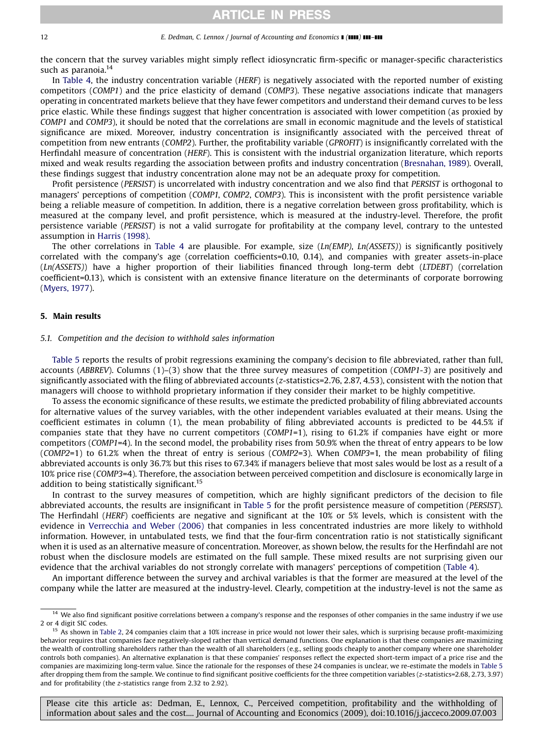the concern that the survey variables might simply reflect idiosyncratic firm-specific or manager-specific characteristics such as paranoia.<sup>14</sup>

In Table 4, the industry concentration variable (HERF) is negatively associated with the reported number of existing competitors (COMP1) and the price elasticity of demand (COMP3). These negative associations indicate that managers operating in concentrated markets believe that they have fewer competitors and understand their demand curves to be less price elastic. While these findings suggest that higher concentration is associated with lower competition (as proxied by COMP1 and COMP3), it should be noted that the correlations are small in economic magnitude and the levels of statistical significance are mixed. Moreover, industry concentration is insignificantly associated with the perceived threat of competition from new entrants (COMP2). Further, the profitability variable (GPROFIT) is insignificantly correlated with the Herfindahl measure of concentration (HERF). This is consistent with the industrial organization literature, which reports mixed and weak results regarding the association between profits and industry concentration ([Bresnahan, 1989](#page-19-0)). Overall, these findings suggest that industry concentration alone may not be an adequate proxy for competition.

Profit persistence (PERSIST) is uncorrelated with industry concentration and we also find that PERSIST is orthogonal to managers' perceptions of competition (COMP1, COMP2, COMP3). This is inconsistent with the profit persistence variable being a reliable measure of competition. In addition, there is a negative correlation between gross profitability, which is measured at the company level, and profit persistence, which is measured at the industry-level. Therefore, the profit persistence variable (PERSIST) is not a valid surrogate for profitability at the company level, contrary to the untested assumption in [Harris \(1998\)](#page-19-0).

The other correlations in Table 4 are plausible. For example, size  $(Ln(EMP), Ln(ASSETS))$  is significantly positively correlated with the company's age (correlation coefficients=0.10, 0.14), and companies with greater assets-in-place (Ln(ASSETS)) have a higher proportion of their liabilities financed through long-term debt (LTDEBT) (correlation coefficient=0.13), which is consistent with an extensive finance literature on the determinants of corporate borrowing ([Myers, 1977](#page-20-0)).

#### 5. Main results

#### 5.1. Competition and the decision to withhold sales information

Table 5 reports the results of probit regressions examining the company's decision to file abbreviated, rather than full, accounts (ABBREV). Columns (1)–(3) show that the three survey measures of competition (COMP1-3) are positively and significantly associated with the filing of abbreviated accounts (z-statistics=2.76, 2.87, 4.53), consistent with the notion that managers will choose to withhold proprietary information if they consider their market to be highly competitive.

To assess the economic significance of these results, we estimate the predicted probability of filing abbreviated accounts for alternative values of the survey variables, with the other independent variables evaluated at their means. Using the coefficient estimates in column (1), the mean probability of filing abbreviated accounts is predicted to be 44.5% if companies state that they have no current competitors (COMP1=1), rising to  $61.2\%$  if companies have eight or more competitors (COMP1=4). In the second model, the probability rises from 50.9% when the threat of entry appears to be low (COMP2=1) to 61.2% when the threat of entry is serious (COMP2=3). When COMP3=1, the mean probability of filing abbreviated accounts is only 36.7% but this rises to 67.34% if managers believe that most sales would be lost as a result of a 10% price rise (COMP3=4). Therefore, the association between perceived competition and disclosure is economically large in addition to being statistically significant.<sup>15</sup>

In contrast to the survey measures of competition, which are highly significant predictors of the decision to file abbreviated accounts, the results are insignificant in Table 5 for the profit persistence measure of competition (PERSIST). The Herfindahl (HERF) coefficients are negative and significant at the 10% or 5% levels, which is consistent with the evidence in [Verrecchia and Weber \(2006\)](#page-20-0) that companies in less concentrated industries are more likely to withhold information. However, in untabulated tests, we find that the four-firm concentration ratio is not statistically significant when it is used as an alternative measure of concentration. Moreover, as shown below, the results for the Herfindahl are not robust when the disclosure models are estimated on the full sample. These mixed results are not surprising given our evidence that the archival variables do not strongly correlate with managers' perceptions of competition (Table 4).

An important difference between the survey and archival variables is that the former are measured at the level of the company while the latter are measured at the industry-level. Clearly, competition at the industry-level is not the same as

<sup>&</sup>lt;sup>14</sup> We also find significant positive correlations between a company's response and the responses of other companies in the same industry if we use 2 or 4 digit SIC codes.

<sup>&</sup>lt;sup>15</sup> As shown in Table 2, 24 companies claim that a 10% increase in price would not lower their sales, which is surprising because profit-maximizing behavior requires that companies face negatively-sloped rather than vertical demand functions. One explanation is that these companies are maximizing the wealth of controlling shareholders rather than the wealth of all shareholders (e.g., selling goods cheaply to another company where one shareholder controls both companies). An alternative explanation is that these companies' responses reflect the expected short-term impact of a price rise and the companies are maximizing long-term value. Since the rationale for the responses of these 24 companies is unclear, we re-estimate the models in Table 5 after dropping them from the sample. We continue to find significant positive coefficients for the three competition variables (z-statistics=2.68, 2.73, 3.97) and for profitability (the z-statistics range from 2.32 to 2.92).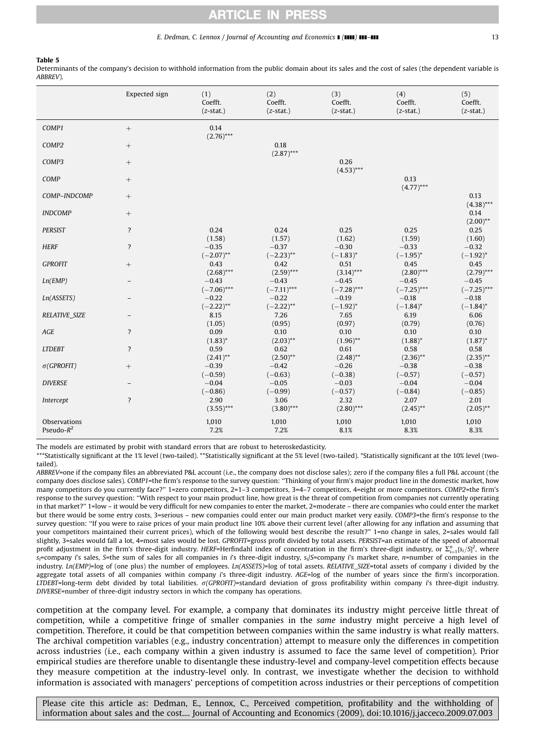#### Table 5

Determinants of the company's decision to withhold information from the public domain about its sales and the cost of sales (the dependent variable is ABBREV).

|                               | Expected sign            | (1)<br>Coefft.<br>$(z-stat.)$ | (2)<br>Coefft.<br>$(z-stat.)$ | (3)<br>Coefft.<br>$(z-stat.)$ | (4)<br>Coefft.<br>$(z$ -stat.) | (5)<br>Coefft.<br>$(z-stat.)$ |
|-------------------------------|--------------------------|-------------------------------|-------------------------------|-------------------------------|--------------------------------|-------------------------------|
| COMP1                         | $^{+}$                   | 0.14<br>$(2.76)$ ***          |                               |                               |                                |                               |
| COMP2                         |                          |                               | 0.18<br>$(2.87)$ ***          |                               |                                |                               |
| COMP3                         | $^{+}$                   |                               |                               | 0.26<br>$(4.53)$ ***          |                                |                               |
| COMP                          | $^{+}$                   |                               |                               |                               | 0.13<br>$(4.77)$ ***           |                               |
| COMP-INDCOMP                  | $^{+}$                   |                               |                               |                               |                                | 0.13<br>$(4.38)$ ***          |
| <b>INDCOMP</b>                | $^{+}$                   |                               |                               |                               |                                | 0.14<br>$(2.00)$ **           |
| <b>PERSIST</b>                | $\overline{\mathcal{L}}$ | 0.24<br>(1.58)                | 0.24<br>(1.57)                | 0.25<br>(1.62)                | 0.25<br>(1.59)                 | 0.25<br>(1.60)                |
| <b>HERF</b>                   | $\overline{\phantom{a}}$ | $-0.35$<br>$(-2.07)$ **       | $-0.37$<br>$(-2.23)$ **       | $-0.30$<br>$(-1.83)^*$        | $-0.33$<br>$(-1.95)^{*}$       | $-0.32$<br>$(-1.92)^{*}$      |
| <b>GPROFIT</b>                |                          | 0.43<br>$(2.68)$ ***          | 0.42<br>$(2.59)$ ***          | 0.51<br>$(3.14)$ ***          | 0.45<br>$(2.80)$ ***           | 0.45<br>$(2.79)$ ***          |
| Ln(EMP)                       | $\overline{\phantom{0}}$ | $-0.43$<br>$(-7.06)$ ***      | $-0.43$<br>$(-7.11)$ ***      | $-0.45$<br>$(-7.28)$ ***      | $-0.45$<br>$(-7.25)$ ***       | $-0.45$<br>$(-7.25)$ ***      |
| Ln(ASSETS)                    |                          | $-0.22$<br>$(-2.22)$ **       | $-0.22$<br>$(-2.22)$ **       | $-0.19$<br>$(-1.92)^{*}$      | $-0.18$<br>$(-1.84)^*$         | $-0.18$<br>$(-1.84)^*$        |
| <b>RELATIVE SIZE</b>          |                          | 8.15<br>(1.05)                | 7.26<br>(0.95)                | 7.65<br>(0.97)                | 6.19<br>(0.79)                 | 6.06<br>(0.76)                |
| AGE                           | $\overline{\phantom{a}}$ | 0.09<br>$(1.83)^*$            | 0.10<br>$(2.03)$ **           | 0.10<br>$(1.96)$ **           | 0.10<br>$(1.88)^*$             | 0.10<br>$(1.87)^*$            |
| <b>LTDEBT</b>                 | $\overline{\mathbf{?}}$  | 0.59<br>$(2.41)$ **           | 0.62<br>$(2.50)$ **           | 0.61<br>$(2.48)$ **           | 0.58<br>$(2.36)$ **            | 0.58<br>$(2.35)$ **           |
| $\sigma$ (GPROFIT)            | $^{+}$                   | $-0.39$<br>$(-0.59)$          | $-0.42$<br>$(-0.63)$          | $-0.26$<br>$(-0.38)$          | $-0.38$<br>$(-0.57)$           | $-0.38$<br>$(-0.57)$          |
| <b>DIVERSE</b>                | $\overline{\phantom{a}}$ | $-0.04$<br>$(-0.86)$          | $-0.05$<br>$(-0.99)$          | $-0.03$<br>$(-0.57)$          | $-0.04$<br>$(-0.84)$           | $-0.04$<br>$(-0.85)$          |
| Intercept                     | $\overline{\phantom{a}}$ | 2.90<br>$(3.55)$ ***          | 3.06<br>$(3.80)$ ***          | 2.32<br>$(2.80)$ ***          | 2.07<br>$(2.45)$ **            | 2.01<br>$(2.05)$ **           |
| Observations<br>Pseudo- $R^2$ |                          | 1,010<br>7.2%                 | 1,010<br>7.2%                 | 1,010<br>8.1%                 | 1,010<br>8.3%                  | 1,010<br>8.3%                 |

The models are estimated by probit with standard errors that are robust to heteroskedasticity.

\*\*\*Statistically significant at the 1% level (two-tailed). \*\*Statistically significant at the 5% level (two-tailed). \*Statistically significant at the 10% level (twotailed).

ABBREV=one if the company files an abbreviated P&L account (i.e., the company does not disclose sales); zero if the company files a full P&L account (the company does disclose sales). COMP1=the firm's response to the survey question: ''Thinking of your firm's major product line in the domestic market, how many competitors do you currently face?" 1=zero competitors, 2=1-3 competitors, 3=4-7 competitors, 4=eight or more competitors. COMP2=the firm's response to the survey question: ''With respect to your main product line, how great is the threat of competition from companies not currently operating in that market?'' 1=low – it would be very difficult for new companies to enter the market, 2=moderate – there are companies who could enter the market but there would be some entry costs, 3=serious – new companies could enter our main product market very easily. COMP3=the firm's response to the survey question: ''If you were to raise prices of your main product line 10% above their current level (after allowing for any inflation and assuming that your competitors maintained their current prices), which of the following would best describe the result?'' 1=no change in sales, 2=sales would fall slightly, 3=sales would fall a lot, 4=most sales would be lost. GPROFIT=gross profit divided by total assets. PERSIST=an estimate of the speed of abnormal profit adjustment in the firm's three-digit industry. HERF=Herfindahl index of concentration in the firm's three-digit industry, or  $\Sigma_{i=1}^n[s_i/S]^2$ , where  $s_i$ =company *i*'s sales, S=the sum of sales for all companies in *i*'s three-digit industry,  $s_i$ /S=company *i*'s market share, *n*=number of companies in the industry. Ln(EMP)=log of (one plus) the number of employees. Ln(ASSETS)=log of total assets. RELATIVE\_SIZE=total assets of company i divided by the aggregate total assets of all companies within company i's three-digit industry. AGE=log of the number of years since the firm's incorporation. LTDEBT=long-term debt divided by total liabilities.  $\sigma$ (GPROFIT)=standard deviation of gross profitability within company i's three-digit industry. DIVERSE=number of three-digit industry sectors in which the company has operations.

competition at the company level. For example, a company that dominates its industry might perceive little threat of competition, while a competitive fringe of smaller companies in the same industry might perceive a high level of competition. Therefore, it could be that competition between companies within the same industry is what really matters. The archival competition variables (e.g., industry concentration) attempt to measure only the differences in competition across industries (i.e., each company within a given industry is assumed to face the same level of competition). Prior empirical studies are therefore unable to disentangle these industry-level and company-level competition effects because they measure competition at the industry-level only. In contrast, we investigate whether the decision to withhold information is associated with managers' perceptions of competition across industries or their perceptions of competition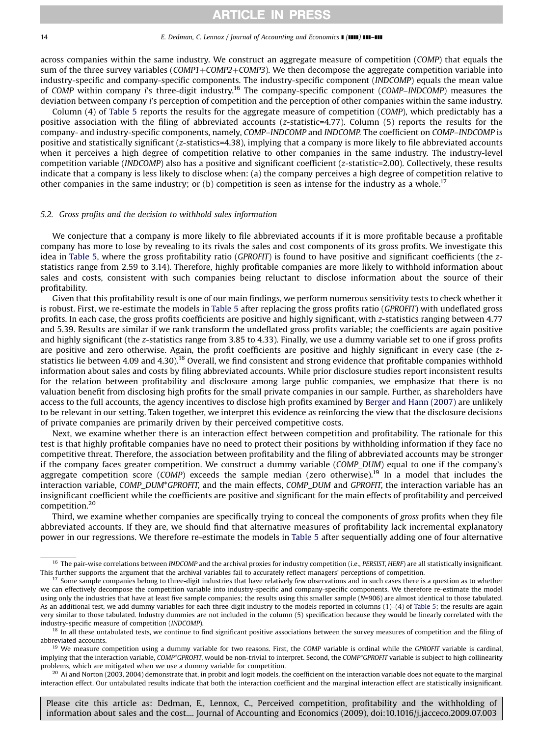#### 14 **E. Dedman, C. Lennox** / Journal of Accounting and Economics **[(1111) 111-111**

across companies within the same industry. We construct an aggregate measure of competition (COMP) that equals the sum of the three survey variables (COMP1+COMP2+COMP3). We then decompose the aggregate competition variable into industry-specific and company-specific components. The industry-specific component (INDCOMP) equals the mean value of COMP within company i's three-digit industry.16 The company-specific component (COMP–INDCOMP) measures the deviation between company *i*'s perception of competition and the perception of other companies within the same industry.

Column (4) of Table 5 reports the results for the aggregate measure of competition (COMP), which predictably has a positive association with the filing of abbreviated accounts (z-statistic=4.77). Column (5) reports the results for the company- and industry-specific components, namely, COMP–INDCOMP and INDCOMP. The coefficient on COMP–INDCOMP is positive and statistically significant (z-statistics=4.38), implying that a company is more likely to file abbreviated accounts when it perceives a high degree of competition relative to other companies in the same industry. The industry-level competition variable (INDCOMP) also has a positive and significant coefficient (z-statistic=2.00). Collectively, these results indicate that a company is less likely to disclose when: (a) the company perceives a high degree of competition relative to other companies in the same industry; or (b) competition is seen as intense for the industry as a whole.<sup>17</sup>

#### 5.2. Gross profits and the decision to withhold sales information

We conjecture that a company is more likely to file abbreviated accounts if it is more profitable because a profitable company has more to lose by revealing to its rivals the sales and cost components of its gross profits. We investigate this idea in Table 5, where the gross profitability ratio (GPROFIT) is found to have positive and significant coefficients (the zstatistics range from 2.59 to 3.14). Therefore, highly profitable companies are more likely to withhold information about sales and costs, consistent with such companies being reluctant to disclose information about the source of their profitability.

Given that this profitability result is one of our main findings, we perform numerous sensitivity tests to check whether it is robust. First, we re-estimate the models in Table 5 after replacing the gross profits ratio (GPROFIT) with undeflated gross profits. In each case, the gross profits coefficients are positive and highly significant, with z-statistics ranging between 4.77 and 5.39. Results are similar if we rank transform the undeflated gross profits variable; the coefficients are again positive and highly significant (the z-statistics range from 3.85 to 4.33). Finally, we use a dummy variable set to one if gross profits are positive and zero otherwise. Again, the profit coefficients are positive and highly significant in every case (the zstatistics lie between 4.09 and 4.30).18 Overall, we find consistent and strong evidence that profitable companies withhold information about sales and costs by filing abbreviated accounts. While prior disclosure studies report inconsistent results for the relation between profitability and disclosure among large public companies, we emphasize that there is no valuation benefit from disclosing high profits for the small private companies in our sample. Further, as shareholders have access to the full accounts, the agency incentives to disclose high profits examined by [Berger and Hann \(2007\)](#page-19-0) are unlikely to be relevant in our setting. Taken together, we interpret this evidence as reinforcing the view that the disclosure decisions of private companies are primarily driven by their perceived competitive costs.

Next, we examine whether there is an interaction effect between competition and profitability. The rationale for this test is that highly profitable companies have no need to protect their positions by withholding information if they face no competitive threat. Therefore, the association between profitability and the filing of abbreviated accounts may be stronger if the company faces greater competition. We construct a dummy variable (COMP\_DUM) equal to one if the company's aggregate competition score (COMP) exceeds the sample median (zero otherwise).<sup>19</sup> In a model that includes the interaction variable, COMP\_DUM\*GPROFIT, and the main effects, COMP\_DUM and GPROFIT, the interaction variable has an insignificant coefficient while the coefficients are positive and significant for the main effects of profitability and perceived competition.<sup>20</sup>

Third, we examine whether companies are specifically trying to conceal the components of gross profits when they file abbreviated accounts. If they are, we should find that alternative measures of profitability lack incremental explanatory power in our regressions. We therefore re-estimate the models in Table 5 after sequentially adding one of four alternative

 $20$  Ai and Norton (2003, 2004) demonstrate that, in probit and logit models, the coefficient on the interaction variable does not equate to the marginal interaction effect. Our untabulated results indicate that both the interaction coefficient and the marginal interaction effect are statistically insignificant.

<sup>&</sup>lt;sup>16</sup> The pair-wise correlations between INDCOMP and the archival proxies for industry competition (i.e., PERSIST, HERF) are all statistically insignificant. This further supports the argument that the archival variables fail to accurately reflect managers' perceptions of competition.

 $17$  Some sample companies belong to three-digit industries that have relatively few observations and in such cases there is a question as to whether we can effectively decompose the competition variable into industry-specific and company-specific components. We therefore re-estimate the model using only the industries that have at least five sample companies; the results using this smaller sample (N=906) are almost identical to those tabulated. As an additional test, we add dummy variables for each three-digit industry to the models reported in columns (1)–(4) of Table 5; the results are again very similar to those tabulated. Industry dummies are not included in the column (5) specification because they would be linearly correlated with the industry-specific measure of competition (INDCOMP).

 $18$  In all these untabulated tests, we continue to find significant positive associations between the survey measures of competition and the filing of abbreviated accounts.

<sup>&</sup>lt;sup>19</sup> We measure competition using a dummy variable for two reasons. First, the COMP variable is ordinal while the GPROFIT variable is cardinal, implying that the interaction variable, COMP\*GPROFIT, would be non-trivial to interpret. Second, the COMP\*GPROFIT variable is subject to high collinearity problems, which are mitigated when we use a dummy variable for competition.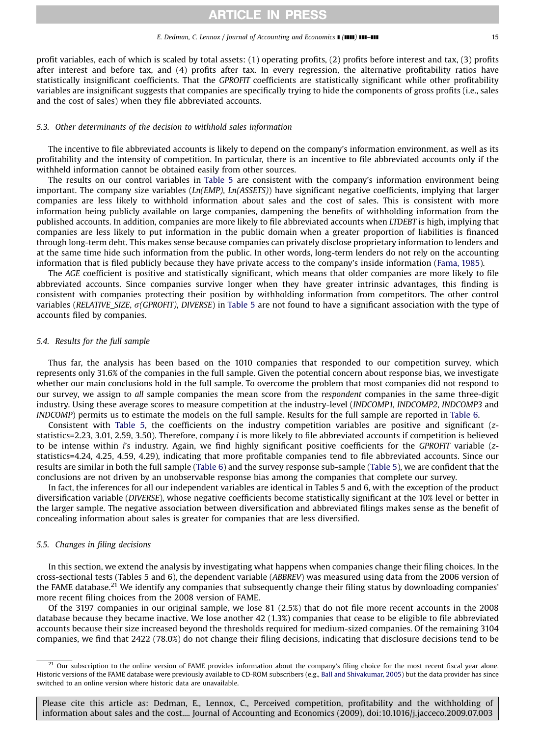#### E. Dedman, C. Lennox / Journal of Accounting and Economics  $\blacksquare$  ( $\blacksquare$ )  $\blacksquare$

profit variables, each of which is scaled by total assets: (1) operating profits, (2) profits before interest and tax, (3) profits after interest and before tax, and (4) profits after tax. In every regression, the alternative profitability ratios have statistically insignificant coefficients. That the GPROFIT coefficients are statistically significant while other profitability variables are insignificant suggests that companies are specifically trying to hide the components of gross profits (i.e., sales and the cost of sales) when they file abbreviated accounts.

#### 5.3. Other determinants of the decision to withhold sales information

The incentive to file abbreviated accounts is likely to depend on the company's information environment, as well as its profitability and the intensity of competition. In particular, there is an incentive to file abbreviated accounts only if the withheld information cannot be obtained easily from other sources.

The results on our control variables in Table 5 are consistent with the company's information environment being important. The company size variables (Ln(EMP), Ln(ASSETS)) have significant negative coefficients, implying that larger companies are less likely to withhold information about sales and the cost of sales. This is consistent with more information being publicly available on large companies, dampening the benefits of withholding information from the published accounts. In addition, companies are more likely to file abbreviated accounts when LTDEBT is high, implying that companies are less likely to put information in the public domain when a greater proportion of liabilities is financed through long-term debt. This makes sense because companies can privately disclose proprietary information to lenders and at the same time hide such information from the public. In other words, long-term lenders do not rely on the accounting information that is filed publicly because they have private access to the company's inside information ([Fama, 1985](#page-19-0)).

The AGE coefficient is positive and statistically significant, which means that older companies are more likely to file abbreviated accounts. Since companies survive longer when they have greater intrinsic advantages, this finding is consistent with companies protecting their position by withholding information from competitors. The other control variables (RELATIVE\_SIZE,  $\sigma$ (GPROFIT), DIVERSE) in Table 5 are not found to have a significant association with the type of accounts filed by companies.

#### 5.4. Results for the full sample

Thus far, the analysis has been based on the 1010 companies that responded to our competition survey, which represents only 31.6% of the companies in the full sample. Given the potential concern about response bias, we investigate whether our main conclusions hold in the full sample. To overcome the problem that most companies did not respond to our survey, we assign to all sample companies the mean score from the respondent companies in the same three-digit industry. Using these average scores to measure competition at the industry-level (INDCOMP1, INDCOMP2, INDCOMP3 and INDCOMP) permits us to estimate the models on the full sample. Results for the full sample are reported in Table 6.

Consistent with Table 5, the coefficients on the industry competition variables are positive and significant (zstatistics=2.23, 3.01, 2.59, 3.50). Therefore, company i is more likely to file abbreviated accounts if competition is believed to be intense within i's industry. Again, we find highly significant positive coefficients for the GPROFIT variable (zstatistics=4.24, 4.25, 4.59, 4.29), indicating that more profitable companies tend to file abbreviated accounts. Since our results are similar in both the full sample (Table 6) and the survey response sub-sample (Table 5), we are confident that the conclusions are not driven by an unobservable response bias among the companies that complete our survey.

In fact, the inferences for all our independent variables are identical in Tables 5 and 6, with the exception of the product diversification variable (DIVERSE), whose negative coefficients become statistically significant at the 10% level or better in the larger sample. The negative association between diversification and abbreviated filings makes sense as the benefit of concealing information about sales is greater for companies that are less diversified.

#### 5.5. Changes in filing decisions

In this section, we extend the analysis by investigating what happens when companies change their filing choices. In the cross-sectional tests (Tables 5 and 6), the dependent variable (ABBREV) was measured using data from the 2006 version of the FAME database.<sup>21</sup> We identify any companies that subsequently change their filing status by downloading companies' more recent filing choices from the 2008 version of FAME.

Of the 3197 companies in our original sample, we lose 81 (2.5%) that do not file more recent accounts in the 2008 database because they became inactive. We lose another 42 (1.3%) companies that cease to be eligible to file abbreviated accounts because their size increased beyond the thresholds required for medium-sized companies. Of the remaining 3104 companies, we find that 2422 (78.0%) do not change their filing decisions, indicating that disclosure decisions tend to be

<sup>&</sup>lt;sup>21</sup> Our subscription to the online version of FAME provides information about the company's filing choice for the most recent fiscal year alone. Historic versions of the FAME database were previously available to CD-ROM subscribers (e.g., [Ball and Shivakumar, 2005\)](#page-19-0) but the data provider has since switched to an online version where historic data are unavailable.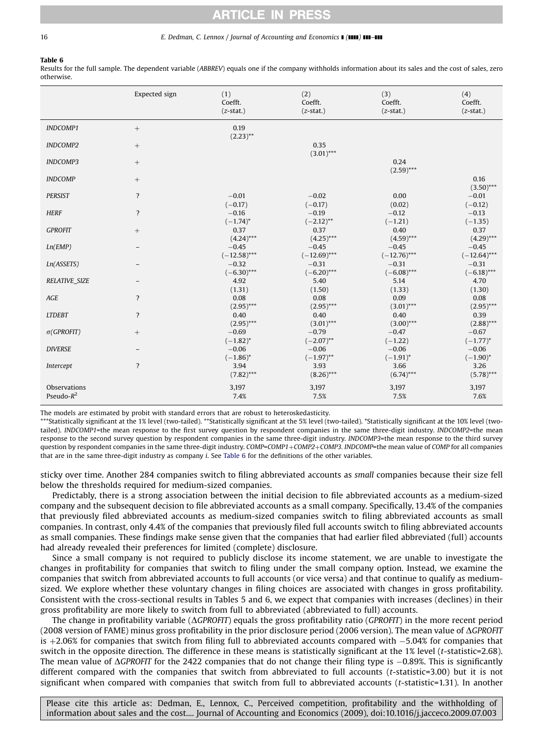#### 16 **E. Dedman, C. Lennox** / Journal of Accounting and Economics **1 (1111) 111-111**

#### Table 6

Results for the full sample. The dependent variable (ABBREV) equals one if the company withholds information about its sales and the cost of sales, zero otherwise.

|                               | Expected sign            | (1)<br>Coefft.<br>$(z-stat.)$ | (2)<br>Coefft.<br>$(z-stat.)$ | (3)<br>Coefft.<br>$(z$ -stat.) | (4)<br>Coefft.<br>$(z-stat.)$ |
|-------------------------------|--------------------------|-------------------------------|-------------------------------|--------------------------------|-------------------------------|
| <b>INDCOMP1</b>               | $^+$                     | 0.19<br>$(2.23)$ **           |                               |                                |                               |
| <b>INDCOMP2</b>               | $^+$                     |                               | 0.35<br>$(3.01)$ ***          |                                |                               |
| <b>INDCOMP3</b>               | $^+$                     |                               |                               | 0.24<br>$(2.59)$ ***           |                               |
| <b>INDCOMP</b>                | $^+$                     |                               |                               |                                | 0.16<br>$(3.50)$ ***          |
| <b>PERSIST</b>                | $\overline{\phantom{a}}$ | $-0.01$<br>$(-0.17)$          | $-0.02$<br>$(-0.17)$          | 0.00<br>(0.02)                 | $-0.01$<br>$(-0.12)$          |
| <b>HERF</b>                   | $\overline{\phantom{a}}$ | $-0.16$<br>$(-1.74)^*$        | $-0.19$<br>$(-2.12)$ **       | $-0.12$<br>$(-1.21)$           | $-0.13$<br>$(-1.35)$          |
| <b>GPROFIT</b>                | $\qquad \qquad +$        | 0.37<br>$(4.24)$ ***          | 0.37<br>$(4.25)$ ***          | 0.40<br>$(4.59)$ ***           | 0.37<br>$(4.29)$ ***          |
| Ln(EMP)                       |                          | $-0.45$<br>$(-12.58)$ ***     | $-0.45$<br>$(-12.69)$ ***     | $-0.45$<br>$(-12.76)$ ***      | $-0.45$<br>$(-12.64)$ ***     |
| Ln(ASSETS)                    |                          | $-0.32$<br>$(-6.30)$ ***      | $-0.31$<br>$(-6.20)$ ***      | $-0.31$<br>$(-6.08)$ ***       | $-0.31$<br>$(-6.18)$ ***      |
| <b>RELATIVE_SIZE</b>          |                          | 4.92<br>(1.31)                | 5.40<br>(1.50)                | 5.14<br>(1.33)                 | 4.70<br>(1.30)                |
| AGE                           | $\overline{\phantom{a}}$ | 0.08<br>$(2.95)$ ***          | 0.08<br>$(2.95)$ ***          | 0.09<br>$(3.01)$ ***           | 0.08<br>$(2.95)$ ***          |
| <b>LTDEBT</b>                 | $\overline{\phantom{a}}$ | 0.40<br>$(2.95)$ ***          | 0.40<br>$(3.01)$ ***          | 0.40<br>$(3.00)$ ***           | 0.39<br>$(2.88)$ ***          |
| $\sigma$ (GPROFIT)            | $^{+}$                   | $-0.69$<br>$(-1.82)^*$        | $-0.79$<br>$(-2.07)$ **       | $-0.47$<br>$(-1.22)$           | $-0.67$<br>$(-1.77)^*$        |
| <b>DIVERSE</b>                |                          | $-0.06$<br>$(-1.86)^*$        | $-0.06$<br>$(-1.97)$ **       | $-0.06$<br>$(-1.91)^*$         | $-0.06$<br>$(-1.90)^*$        |
| Intercept                     | $\overline{\phantom{a}}$ | 3.94<br>$(7.82)$ ***          | 3.93<br>$(8.26)$ ***          | 3.66<br>$(6.74)$ ***           | 3.26<br>$(5.78)$ ***          |
| Observations<br>Pseudo- $R^2$ |                          | 3,197<br>7.4%                 | 3,197<br>7.5%                 | 3,197<br>7.5%                  | 3,197<br>7.6%                 |

The models are estimated by probit with standard errors that are robust to heteroskedasticity.

\*\*\*Statistically significant at the 1% level (two-tailed). \*\*Statistically significant at the 5% level (two-tailed). \*Statistically significant at the 10% level (twotailed). INDCOMP1=the mean response to the first survey question by respondent companies in the same three-digit industry. INDCOMP2=the mean response to the second survey question by respondent companies in the same three-digit industry. INDCOMP3=the mean response to the third survey question by respondent companies in the same three-digit industry. COMP=COMP1+COMP2+COMP3. INDCOMP=the mean value of COMP for all companies that are in the same three-digit industry as company i. See Table 6 for the definitions of the other variables.

sticky over time. Another 284 companies switch to filing abbreviated accounts as small companies because their size fell below the thresholds required for medium-sized companies.

Predictably, there is a strong association between the initial decision to file abbreviated accounts as a medium-sized company and the subsequent decision to file abbreviated accounts as a small company. Specifically, 13.4% of the companies that previously filed abbreviated accounts as medium-sized companies switch to filing abbreviated accounts as small companies. In contrast, only 4.4% of the companies that previously filed full accounts switch to filing abbreviated accounts as small companies. These findings make sense given that the companies that had earlier filed abbreviated (full) accounts had already revealed their preferences for limited (complete) disclosure.

Since a small company is not required to publicly disclose its income statement, we are unable to investigate the changes in profitability for companies that switch to filing under the small company option. Instead, we examine the companies that switch from abbreviated accounts to full accounts (or vice versa) and that continue to qualify as mediumsized. We explore whether these voluntary changes in filing choices are associated with changes in gross profitability. Consistent with the cross-sectional results in Tables 5 and 6, we expect that companies with increases (declines) in their gross profitability are more likely to switch from full to abbreviated (abbreviated to full) accounts.

The change in profitability variable ( $\Delta$ GPROFIT) equals the gross profitability ratio (GPROFIT) in the more recent period (2008 version of FAME) minus gross profitability in the prior disclosure period (2006 version). The mean value of  $\Delta$ GPROFIT is  $+2.06\%$  for companies that switch from filing full to abbreviated accounts compared with  $-5.04\%$  for companies that switch in the opposite direction. The difference in these means is statistically significant at the 1% level (t-statistic=2.68). The mean value of  $\Delta$ GPROFIT for the 2422 companies that do not change their filing type is  $-0.89$ %. This is significantly different compared with the companies that switch from abbreviated to full accounts (t-statistic=3.00) but it is not significant when compared with companies that switch from full to abbreviated accounts  $(t\text{-statistic}=1.31)$ . In another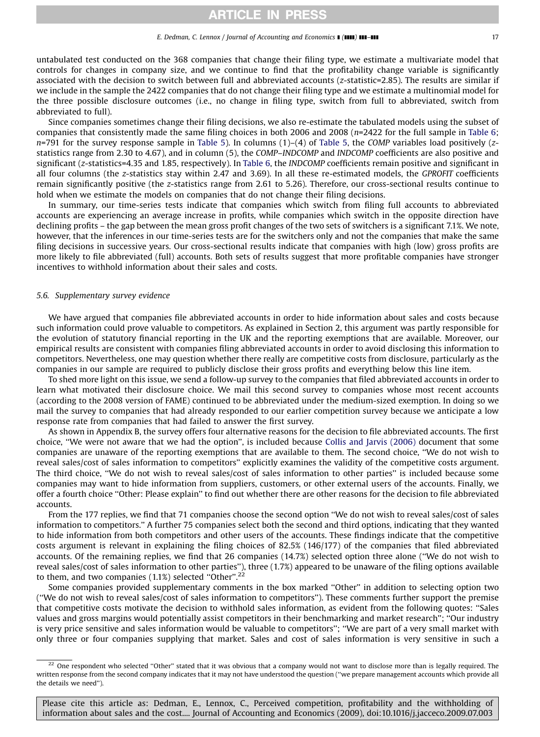untabulated test conducted on the 368 companies that change their filing type, we estimate a multivariate model that controls for changes in company size, and we continue to find that the profitability change variable is significantly associated with the decision to switch between full and abbreviated accounts (z-statistic=2.85). The results are similar if we include in the sample the 2422 companies that do not change their filing type and we estimate a multinomial model for the three possible disclosure outcomes (i.e., no change in filing type, switch from full to abbreviated, switch from abbreviated to full).

Since companies sometimes change their filing decisions, we also re-estimate the tabulated models using the subset of companies that consistently made the same filing choices in both 2006 and 2008 (n=2422 for the full sample in Table 6;  $n=791$  for the survey response sample in Table 5). In columns  $(1)-(4)$  of Table 5, the COMP variables load positively (zstatistics range from 2.30 to 4.67), and in column (5), the COMP–INDCOMP and INDCOMP coefficients are also positive and significant (z-statistics=4.35 and 1.85, respectively). In Table 6, the INDCOMP coefficients remain positive and significant in all four columns (the z-statistics stay within 2.47 and 3.69). In all these re-estimated models, the GPROFIT coefficients remain significantly positive (the z-statistics range from 2.61 to 5.26). Therefore, our cross-sectional results continue to hold when we estimate the models on companies that do not change their filing decisions.

In summary, our time-series tests indicate that companies which switch from filing full accounts to abbreviated accounts are experiencing an average increase in profits, while companies which switch in the opposite direction have declining profits – the gap between the mean gross profit changes of the two sets of switchers is a significant 7.1%. We note, however, that the inferences in our time-series tests are for the switchers only and not the companies that make the same filing decisions in successive years. Our cross-sectional results indicate that companies with high (low) gross profits are more likely to file abbreviated (full) accounts. Both sets of results suggest that more profitable companies have stronger incentives to withhold information about their sales and costs.

#### 5.6. Supplementary survey evidence

We have argued that companies file abbreviated accounts in order to hide information about sales and costs because such information could prove valuable to competitors. As explained in Section 2, this argument was partly responsible for the evolution of statutory financial reporting in the UK and the reporting exemptions that are available. Moreover, our empirical results are consistent with companies filing abbreviated accounts in order to avoid disclosing this information to competitors. Nevertheless, one may question whether there really are competitive costs from disclosure, particularly as the companies in our sample are required to publicly disclose their gross profits and everything below this line item.

To shed more light on this issue, we send a follow-up survey to the companies that filed abbreviated accounts in order to learn what motivated their disclosure choice. We mail this second survey to companies whose most recent accounts (according to the 2008 version of FAME) continued to be abbreviated under the medium-sized exemption. In doing so we mail the survey to companies that had already responded to our earlier competition survey because we anticipate a low response rate from companies that had failed to answer the first survey.

As shown in Appendix B, the survey offers four alternative reasons for the decision to file abbreviated accounts. The first choice, ''We were not aware that we had the option'', is included because [Collis and Jarvis \(2006\)](#page-19-0) document that some companies are unaware of the reporting exemptions that are available to them. The second choice, ''We do not wish to reveal sales/cost of sales information to competitors'' explicitly examines the validity of the competitive costs argument. The third choice, ''We do not wish to reveal sales/cost of sales information to other parties'' is included because some companies may want to hide information from suppliers, customers, or other external users of the accounts. Finally, we offer a fourth choice ''Other: Please explain'' to find out whether there are other reasons for the decision to file abbreviated accounts.

From the 177 replies, we find that 71 companies choose the second option ''We do not wish to reveal sales/cost of sales information to competitors.'' A further 75 companies select both the second and third options, indicating that they wanted to hide information from both competitors and other users of the accounts. These findings indicate that the competitive costs argument is relevant in explaining the filing choices of 82.5% (146/177) of the companies that filed abbreviated accounts. Of the remaining replies, we find that 26 companies (14.7%) selected option three alone (''We do not wish to reveal sales/cost of sales information to other parties''), three (1.7%) appeared to be unaware of the filing options available to them, and two companies  $(1.1%)$  selected "Other".<sup>22</sup>

Some companies provided supplementary comments in the box marked ''Other'' in addition to selecting option two (''We do not wish to reveal sales/cost of sales information to competitors''). These comments further support the premise that competitive costs motivate the decision to withhold sales information, as evident from the following quotes: ''Sales values and gross margins would potentially assist competitors in their benchmarking and market research''; ''Our industry is very price sensitive and sales information would be valuable to competitors''; ''We are part of a very small market with only three or four companies supplying that market. Sales and cost of sales information is very sensitive in such a

<sup>&</sup>lt;sup>22</sup> One respondent who selected "Other" stated that it was obvious that a company would not want to disclose more than is legally required. The written response from the second company indicates that it may not have understood the question (''we prepare management accounts which provide all the details we need'').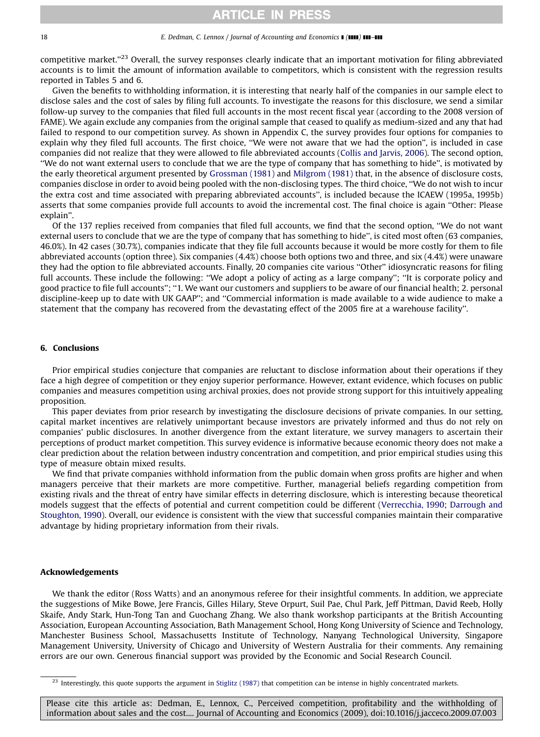competitive market."<sup>23</sup> Overall, the survey responses clearly indicate that an important motivation for filing abbreviated accounts is to limit the amount of information available to competitors, which is consistent with the regression results reported in Tables 5 and 6.

Given the benefits to withholding information, it is interesting that nearly half of the companies in our sample elect to disclose sales and the cost of sales by filing full accounts. To investigate the reasons for this disclosure, we send a similar follow-up survey to the companies that filed full accounts in the most recent fiscal year (according to the 2008 version of FAME). We again exclude any companies from the original sample that ceased to qualify as medium-sized and any that had failed to respond to our competition survey. As shown in Appendix C, the survey provides four options for companies to explain why they filed full accounts. The first choice, ''We were not aware that we had the option'', is included in case companies did not realize that they were allowed to file abbreviated accounts [\(Collis and Jarvis, 2006\)](#page-19-0). The second option, ''We do not want external users to conclude that we are the type of company that has something to hide'', is motivated by the early theoretical argument presented by [Grossman \(1981\)](#page-19-0) and [Milgrom \(1981\)](#page-20-0) that, in the absence of disclosure costs, companies disclose in order to avoid being pooled with the non-disclosing types. The third choice, ''We do not wish to incur the extra cost and time associated with preparing abbreviated accounts'', is included because the ICAEW (1995a, 1995b) asserts that some companies provide full accounts to avoid the incremental cost. The final choice is again ''Other: Please explain''.

Of the 137 replies received from companies that filed full accounts, we find that the second option, ''We do not want external users to conclude that we are the type of company that has something to hide'', is cited most often (63 companies, 46.0%). In 42 cases (30.7%), companies indicate that they file full accounts because it would be more costly for them to file abbreviated accounts (option three). Six companies (4.4%) choose both options two and three, and six (4.4%) were unaware they had the option to file abbreviated accounts. Finally, 20 companies cite various ''Other'' idiosyncratic reasons for filing full accounts. These include the following: ''We adopt a policy of acting as a large company''; ''It is corporate policy and good practice to file full accounts''; ''1. We want our customers and suppliers to be aware of our financial health; 2. personal discipline-keep up to date with UK GAAP''; and ''Commercial information is made available to a wide audience to make a statement that the company has recovered from the devastating effect of the 2005 fire at a warehouse facility''.

#### 6. Conclusions

Prior empirical studies conjecture that companies are reluctant to disclose information about their operations if they face a high degree of competition or they enjoy superior performance. However, extant evidence, which focuses on public companies and measures competition using archival proxies, does not provide strong support for this intuitively appealing proposition.

This paper deviates from prior research by investigating the disclosure decisions of private companies. In our setting, capital market incentives are relatively unimportant because investors are privately informed and thus do not rely on companies' public disclosures. In another divergence from the extant literature, we survey managers to ascertain their perceptions of product market competition. This survey evidence is informative because economic theory does not make a clear prediction about the relation between industry concentration and competition, and prior empirical studies using this type of measure obtain mixed results.

We find that private companies withhold information from the public domain when gross profits are higher and when managers perceive that their markets are more competitive. Further, managerial beliefs regarding competition from existing rivals and the threat of entry have similar effects in deterring disclosure, which is interesting because theoretical models suggest that the effects of potential and current competition could be different ([Verrecchia, 1990](#page-20-0); [Darrough and](#page-19-0) [Stoughton, 1990](#page-19-0)). Overall, our evidence is consistent with the view that successful companies maintain their comparative advantage by hiding proprietary information from their rivals.

#### Acknowledgements

We thank the editor (Ross Watts) and an anonymous referee for their insightful comments. In addition, we appreciate the suggestions of Mike Bowe, Jere Francis, Gilles Hilary, Steve Orpurt, Suil Pae, Chul Park, Jeff Pittman, David Reeb, Holly Skaife, Andy Stark, Hun-Tong Tan and Guochang Zhang. We also thank workshop participants at the British Accounting Association, European Accounting Association, Bath Management School, Hong Kong University of Science and Technology, Manchester Business School, Massachusetts Institute of Technology, Nanyang Technological University, Singapore Management University, University of Chicago and University of Western Australia for their comments. Any remaining errors are our own. Generous financial support was provided by the Economic and Social Research Council.

 $23$  Interestingly, this quote supports the argument in [Stiglitz \(1987\)](#page-20-0) that competition can be intense in highly concentrated markets.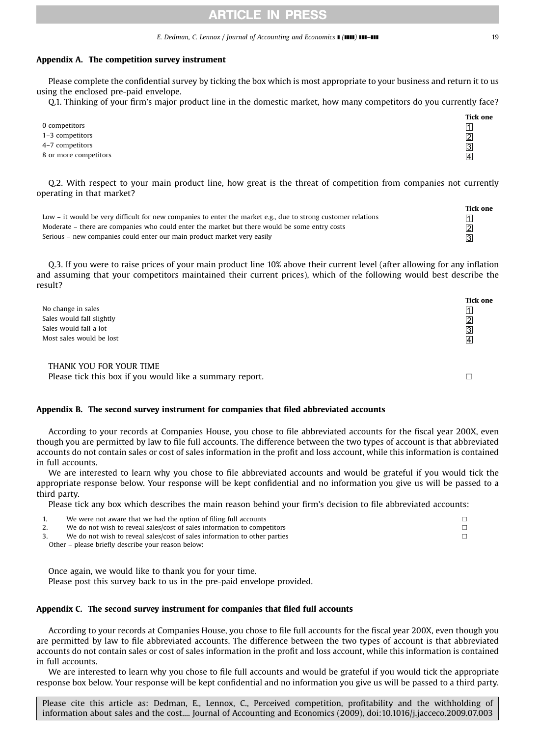#### Appendix A. The competition survey instrument

Please complete the confidential survey by ticking the box which is most appropriate to your business and return it to us using the enclosed pre-paid envelope.

Q.1. Thinking of your firm's major product line in the domestic market, how many competitors do you currently face?

0 competitors 1–3 competitors 4–7 competitors 8 or more competitors

Q.2. With respect to your main product line, how great is the threat of competition from companies not currently operating in that market?

Low – it would be very difficult for new companies to enter the market e.g., due to strong customer relations Moderate – there are companies who could enter the market but there would be some entry costs Serious – new companies could enter our main product market very easily

Q.3. If you were to raise prices of your main product line 10% above their current level (after allowing for any inflation and assuming that your competitors maintained their current prices), which of the following would best describe the result?



#### Appendix B. The second survey instrument for companies that filed abbreviated accounts

According to your records at Companies House, you chose to file abbreviated accounts for the fiscal year 200X, even though you are permitted by law to file full accounts. The difference between the two types of account is that abbreviated accounts do not contain sales or cost of sales information in the profit and loss account, while this information is contained in full accounts.

We are interested to learn why you chose to file abbreviated accounts and would be grateful if you would tick the appropriate response below. Your response will be kept confidential and no information you give us will be passed to a third party.

Please tick any box which describes the main reason behind your firm's decision to file abbreviated accounts:

| We were not aware that we had the option of filing full accounts          |  |
|---------------------------------------------------------------------------|--|
| We do not wish to reveal sales/cost of sales information to competitors   |  |
| We do not wish to reveal sales/cost of sales information to other parties |  |

Other – please briefly describe your reason below:

Once again, we would like to thank you for your time. Please post this survey back to us in the pre-paid envelope provided.

#### Appendix C. The second survey instrument for companies that filed full accounts

According to your records at Companies House, you chose to file full accounts for the fiscal year 200X, even though you are permitted by law to file abbreviated accounts. The difference between the two types of account is that abbreviated accounts do not contain sales or cost of sales information in the profit and loss account, while this information is contained in full accounts.

We are interested to learn why you chose to file full accounts and would be grateful if you would tick the appropriate response box below. Your response will be kept confidential and no information you give us will be passed to a third party.

Please cite this article as: Dedman, E., Lennox, C., Perceived competition, profitability and the withholding of information about sales and the cost.... Journal of Accounting and Economics (2009), doi:[10.1016/j.jacceco.2009.07.003](dx.doi.org/10.1016/j.jacceco.2009.07.003)

Tick one

 $\overline{1}$  $\frac{1}{3}$  $\overline{4}$ 

Tick one

 $\Box$  $\sqrt{2}$  $\overline{3}$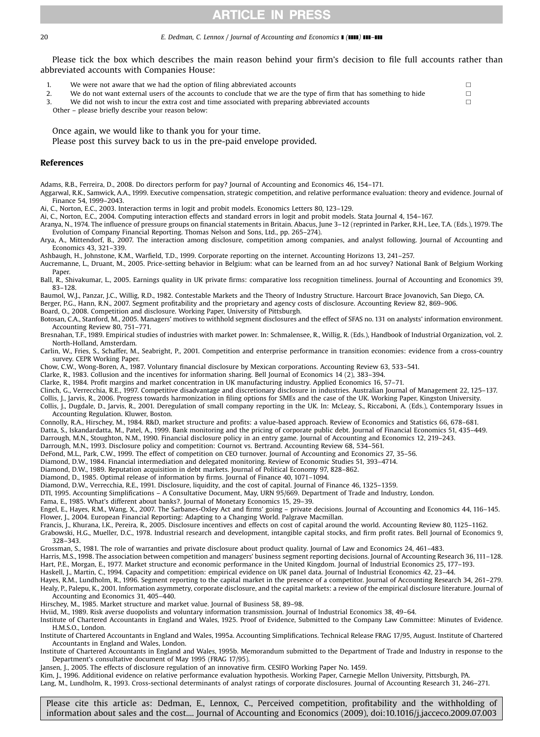#### <span id="page-19-0"></span>20 **E. Dedman, C. Lennox / Journal of Accounting and Economics 1 (1111) 111-111**

Please tick the box which describes the main reason behind your firm's decision to file full accounts rather than abbreviated accounts with Companies House:

1. We were not aware that we had the option of filing abbreviated accounts  $\Box$ 2. We do not want external users of the accounts to conclude that we are the type of firm that has something to hide  $\Box$ <br>3. We did not wish to incur the extra cost and time associated with preparing abbreviated accounts We did not wish to incur the extra cost and time associated with preparing abbreviated accounts Other – please briefly describe your reason below:

Once again, we would like to thank you for your time. Please post this survey back to us in the pre-paid envelope provided.

#### References

Adams, R.B., Ferreira, D., 2008. Do directors perform for pay? Journal of Accounting and Economics 46, 154–171.

Aggarwal, R.K., Samwick, A.A., 1999. Executive compensation, strategic competition, and relative performance evaluation: theory and evidence. Journal of Finance 54, 1999–2043.

Ai, C., Norton, E.C., 2003. Interaction terms in logit and probit models. Economics Letters 80, 123–129.

Ai, C., Norton, E.C., 2004. Computing interaction effects and standard errors in logit and probit models. Stata Journal 4, 154–167.

Aranya, N., 1974. The influence of pressure groups on financial statements in Britain. Abacus, June 3–12 (reprinted in Parker, R.H., Lee, T.A. (Eds.), 1979. The Evolution of Company Financial Reporting. Thomas Nelson and Sons, Ltd., pp. 265–274).

Arya, A., Mittendorf, B., 2007. The interaction among disclosure, competition among companies, and analyst following. Journal of Accounting and Economics 43, 321–339.

Ashbaugh, H., Johnstone, K.M., Warfield, T.D., 1999. Corporate reporting on the internet. Accounting Horizons 13, 241–257.

Aucremanne, L., Druant, M., 2005. Price-setting behavior in Belgium: what can be learned from an ad hoc survey? National Bank of Belgium Working Paper.

Ball, R., Shivakumar, L., 2005. Earnings quality in UK private firms: comparative loss recognition timeliness. Journal of Accounting and Economics 39, 83–128.

Baumol, W.J., Panzar, J.C., Willig, R.D., 1982. Contestable Markets and the Theory of Industry Structure. Harcourt Brace Jovanovich, San Diego, CA.

Berger, P.G., Hann, R.N., 2007. Segment profitability and the proprietary and agency costs of disclosure. Accounting Review 82, 869–906.

Board, O., 2008. Competition and disclosure. Working Paper, University of Pittsburgh.

Botosan, C.A., Stanford, M., 2005. Managers' motives to withhold segment disclosures and the effect of SFAS no. 131 on analysts' information environment. Accounting Review 80, 751–771.

Bresnahan, T.F., 1989. Empirical studies of industries with market power. In: Schmalensee, R., Willig, R. (Eds.), Handbook of Industrial Organization, vol. 2. North-Holland, Amsterdam.

Carlin, W., Fries, S., Schaffer, M., Seabright, P., 2001. Competition and enterprise performance in transition economies: evidence from a cross-country survey. CEPR Working Paper.

Chow, C.W., Wong-Boren, A., 1987. Voluntary financial disclosure by Mexican corporations. Accounting Review 63, 533–541.

Clarke, R., 1983. Collusion and the incentives for information sharing. Bell Journal of Economics 14 (2), 383–394.

Clarke, R., 1984. Profit margins and market concentration in UK manufacturing industry. Applied Economics 16, 57–71.

Clinch, G., Verrecchia, R.E., 1997. Competitive disadvantage and discretionary disclosure in industries. Australian Journal of Management 22, 125–137.

Collis, J., Jarvis, R., 2006. Progress towards harmonization in filing options for SMEs and the case of the UK. Working Paper, Kingston University.

Collis, J., Dugdale, D., Jarvis, R., 2001. Deregulation of small company reporting in the UK. In: McLeay, S., Riccaboni, A. (Eds.), Contemporary Issues in Accounting Regulation. Kluwer, Boston.

Connolly, R.A., Hirschey, M., 1984. R&D, market structure and profits: a value-based approach. Review of Economics and Statistics 66, 678–681.

Datta, S., Iskandardatta, M., Patel, A., 1999. Bank monitoring and the pricing of corporate public debt. Journal of Financial Economics 51, 435–449.

Darrough, M.N., Stoughton, N.M., 1990. Financial disclosure policy in an entry game. Journal of Accounting and Economics 12, 219–243.

Darrough, M.N., 1993. Disclosure policy and competition: Cournot vs. Bertrand. Accounting Review 68, 534–561. DeFond, M.L., Park, C.W., 1999. The effect of competition on CEO turnover. Journal of Accounting and Economics 27, 35–56.

Diamond, D.W., 1984. Financial intermediation and delegated monitoring. Review of Economic Studies 51, 393–4714.

Diamond, D.W., 1989. Reputation acquisition in debt markets. Journal of Political Economy 97, 828–862.

Diamond, D., 1985. Optimal release of information by firms. Journal of Finance 40, 1071–1094.

Diamond, D.W., Verrecchia, R.E., 1991. Disclosure, liquidity, and the cost of capital. Journal of Finance 46, 1325–1359.

DTI, 1995. Accounting Simplifications – A Consultative Document, May, URN 95/669. Department of Trade and Industry, London.

Fama, E., 1985. What's different about banks?. Journal of Monetary Economics 15, 29–39.

Engel, E., Hayes, R.M., Wang, X., 2007. The Sarbanes-Oxley Act and firms' going – private decisions. Journal of Accounting and Economics 44, 116–145. Flower, J., 2004. European Financial Reporting: Adapting to a Changing World. Palgrave Macmillan.

Francis, J., Khurana, I.K., Pereira, R., 2005. Disclosure incentives and effects on cost of capital around the world. Accounting Review 80, 1125–1162.

Grabowski, H.G., Mueller, D.C., 1978. Industrial research and development, intangible capital stocks, and firm profit rates. Bell Journal of Economics 9, 328–343.

Grossman, S., 1981. The role of warranties and private disclosure about product quality. Journal of Law and Economics 24, 461–483.

Harris, M.S., 1998. The association between competition and managers' business segment reporting decisions. Journal of Accounting Research 36, 111–128. Hart, P.E., Morgan, E., 1977. Market structure and economic performance in the United Kingdom. Journal of Industrial Economics 25, 177–193.

Haskell, J., Martin, C., 1994. Capacity and competition: empirical evidence on UK panel data. Journal of Industrial Economics 42, 23–44.

Hayes, R.M., Lundholm, R., 1996. Segment reporting to the capital market in the presence of a competitor. Journal of Accounting Research 34, 261–279. Healy, P., Palepu, K., 2001. Information asymmetry, corporate disclosure, and the capital markets: a review of the empirical disclosure literature. Journal of Accounting and Economics 31, 405–440.

Hirschey, M., 1985. Market structure and market value. Journal of Business 58, 89–98.

Hviid, M., 1989. Risk averse duopolists and voluntary information transmission. Journal of Industrial Economics 38, 49–64.

Institute of Chartered Accountants in England and Wales, 1925. Proof of Evidence, Submitted to the Company Law Committee: Minutes of Evidence. H.M.S.O., London.

Institute of Chartered Accountants in England and Wales, 1995a. Accounting Simplifications. Technical Release FRAG 17/95, August. Institute of Chartered Accountants in England and Wales, London.

Institute of Chartered Accountants in England and Wales, 1995b. Memorandum submitted to the Department of Trade and Industry in response to the Department's consultative document of May 1995 (FRAG 17/95).

Jansen, J., 2005. The effects of disclosure regulation of an innovative firm. CESIFO Working Paper No. 1459.

Kim, J., 1996. Additional evidence on relative performance evaluation hypothesis. Working Paper, Carnegie Mellon University, Pittsburgh, PA. Lang, M., Lundholm, R., 1993. Cross-sectional determinants of analyst ratings of corporate disclosures. Journal of Accounting Research 31, 246–271.